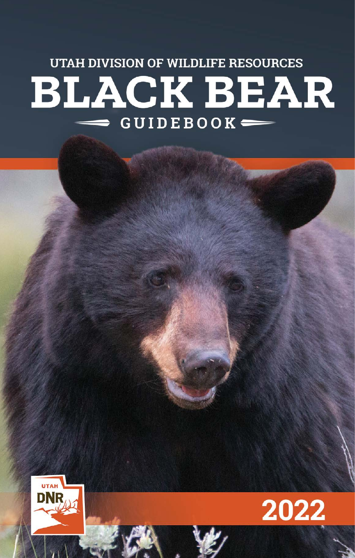# **UTAH DIVISION OF WILDLIFE RESOURCES BLACK BEAR**  $\equiv$  GUIDEBOOK $\equiv$



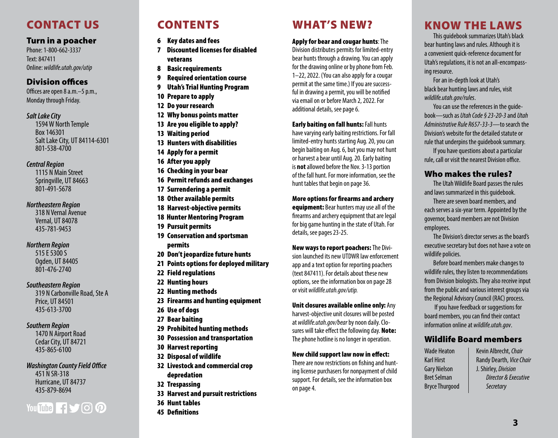# CONTACT US

### Turn in a poacher

*Utah Black Bear Guidebook • 2022* Phone: 1-800-662-3337 Text: 847411 Online: *[wildlife.utah.gov/utip](http://wildlife.utah.gov/utip)* 

### **Division offices**

Offices are open 8 a.m. $-5$  p.m., Monday through Friday.

### *Salt Lake City*

1594 W North Temple Box 146301 Salt Lake City, UT 84114-6301 801-538-4700

### *Central Region*

1115 N Main Street Springville, UT 84663 801-491-5678

### *Northeastern Region*

318 N Vernal Avenue Vernal, UT 84078 435-781-9453

### *Northern Region*

515 E 5300 S Ogden, UT 84405 801-476-2740

### *Southeastern Region*

319 N Carbonville Road, Ste A Price, UT 84501 435-613-3700

### *Southern Region*

1470 N Airport Road Cedar City, UT 84721 435-865-6100

**Washington County Field Office** 451 N SR-318

Hurricane, UT 84737 435-879-8694

# wildlife.ut<br>M You Tube **1500**

# CONTENTS

- [6 Key dates and fees](#page-3-0)
- 7 Discounted licenses for disabled veterans
- [8 Basic requirements](#page-4-0)
- [9 R](#page-4-0)equired orientation course
- 9 [Utah's Trial Hunting Program](#page-4-0)
- [10 Prepare to apply](#page-5-0)
- [12 Do your research](#page-5-0)
- [12 Why bonus points matter](#page-6-0)
- [13 Are you eligible to apply?](#page-6-0)
- [13 Waiting period](#page-6-0)
- [13 Hunters with disabilities](#page-6-0)
- [14 Apply for a permit](#page-7-0)
- [16 After you apply](#page-8-0)
- 1[6 C](#page-8-0)hecking in your bear
- 1[6 Permit refunds and exchanges](#page-8-0)
- [17 Surrendering a permit](#page-8-0)
- [18 Other available permits](#page-9-0)
- [18 Harvest-objective permits](#page-9-0)
- 18 Hunter Mentoring Program
- [19 Pursuit permits](#page-9-0)
- [19 Conservation and sportsman](#page-10-0)  [permits](#page-10-0)
- 20 Don't jeopardize future hunts
- 2[1 P](#page-11-0)oints options for deployed military
- 22 [Field regulations](#page-11-0)
- 2[2 Hunting hours](#page-11-0)
- 2[2 Hunting methods](#page-11-0)
- 2[3 Firearms and hunting equipment](#page-11-0)
- [26 Use of dogs](#page-13-0)
- 2[7 Bear baiting](#page-13-0)
- 2[9 Prohibited hunting methods](#page-14-0)
- 3[0 Possession and transportation](#page-14-0)
- 3[0 Harvest reporting](#page-14-0)
- 3[2 Disposal of wildlife](#page-15-0)
- 3[2 Livestock and commercial crop](#page-15-0)  [depredation](#page-15-0)
- 3[2 Trespassing](#page-15-0)
- 3[3 Harvest and pursuit restrictions](#page-15-0)
- 3[6 Hunt tables](#page-18-0)
- 4[5 Defnitions](#page-22-0)

# WHAT'S NEW?

### Apply for bear and cougar hunts: The

Division distributes permits for limited-entry bear hunts through a drawing. You can apply for the drawing online or by phone from Feb. 1–22, 2022. (You can also apply for a cougar permit at the same time.) If you are successful in drawing a permit, you will be notifed via email on or before March 2, 2022. For additional details, see page [6](#page-3-1).

### Early baiting on fall hunts: Fall hunts

have varying early baiting restrictions. For fall limited-entry hunts starting Aug. 20, you can begin baiting on Aug. 6, but you may not hunt or harvest a bear until Aug. 20. Early baiting is **not** allowed before the Nov. 3-13 portion of the fall hunt. For more information, see the hunt tables that begin on page 36.

### More options for frearms and archery

equipment: Bear hunters may use all of the frearms and archery equipment that are legal for big game hunting in the state of Utah. For details, see pages 23-25.

### New ways to report poachers: The Divi-

sion launched its new UTDWR law enforcement app and a text option for reporting poachers (text 847411). For details about these new options, see the information box on page [28](#page-14-1)  or visit *[wildlife.utah.gov/utip.](https://wildlife.utah.gov/utip)* 

### Unit closures available online only: Any

harvest-objective unit closures will be posted at *[wildlife.utah.gov/bear](http://wildlife.utah.gov/bear)* by noon daily. Closures will take effect the following day. Note: The phone hotline is no longer in operation.

### New child support law now in efect:

There are now restrictions on fshing and hunting license purchasers for nonpayment of child support. For details, see the information box on page [4](#page-2-0).

# KNOW THE LAWS

This guidebook summarizes Utah's black bear hunting laws and rules. Although it is a convenient quick-reference document for Utah's regulations, it is not an all-encompassing resource.

For an in-depth look at Utah's black bear hunting laws and rules, visit *[wildlife.utah.gov/rules](http://wildlife.utah.gov/rules)*.

You can use the references in the guidebook—such as *Utah Code § 23-20-3* and *Utah Administrative Rule R657-33-3*—to search the Division's website for the detailed statute or rule that underpins the guidebook summary.

If you have questions about a particular rule, call or visit the nearest Division office.

### Who makes the rules?

The Utah Wildlife Board passes the rules and laws summarized in this guidebook.

There are seven board members, and each serves a six-year term. Appointed by the governor, board members are not Division employees.

The Division's director serves as the board's executive secretary but does not have a vote on wildlife policies.

Before board members make changes to wildlife rules, they listen to recommendations from Division biologists. They also receive input from the public and various interest groups via the Regional Advisory Council (RAC) process.

 If you have feedback or suggestions for board members, you can fnd their contact information online at *[wildlife.utah.gov](http://wildlife.utah.gov)*.

### Wildlife Board members

Gary Nielson J. Shirley, *Division*  Bryce Thurgood *Secretary* 

ir<br>.<br>. Wade Heaton | Kevin Albrecht, *Chair* Karl Hirst **Randy Dearth**, *Vice Chair* Bret Selman *Director & Executive*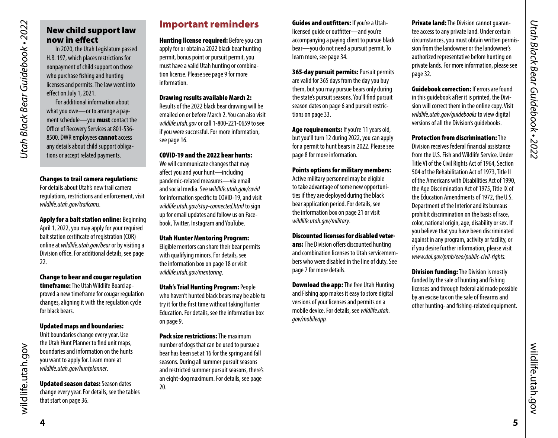# <span id="page-2-0"></span>New child support law now in efect

In 2020, the Utah Legislature passed H.B. 197, which places restrictions for nonpayment of child support on those who purchase fshing and hunting licenses and permits. The law went into effect on July 1, 2021.

For additional information about what you owe—or to arrange a payment schedule—you **must** contact the Office of Recovery Services at 801-536-8500. DWR employees cannot access any details about child support obligations or accept related payments.

### Changes to trail camera regulations:

For details about Utah's new trail camera regulations, restrictions and enforcement, visit *[wildlife.utah.gov/trailcams.](https://wildlife.utah.gov/trailcams)* 

Apply for a bait station online: Beginning April 1, 2022, you may apply for your required bait station certifcate of registration (COR) online at *[wildlife.utah.gov/bear](http://wildlife.utah.gov/bear)* or by visiting a Division office. For additional details, see page 22.

### Change to bear and cougar regulation timeframe: The Utah Wildlife Board approved a new timeframe for cougar regulation changes, aligning it with the regulation cycle for black bears.

### Updated maps and boundaries:

Unit boundaries change every year. Use the Utah Hunt Planner to fnd unit maps, boundaries and information on the hunts you want to apply for. Learn more at *[wildlife.utah.gov/huntplanner](https://wildlife.utah.gov/huntplanner)*.

# Updated season dates: Season dates

change every year. For details, see the tables that start on [page 36](#page-18-1).

# Important reminders

**Hunting license required: Before you can** apply for or obtain a 2022 black bear hunting permit, bonus point or pursuit permit, you must have a valid Utah hunting or combination license. Please see [page 9](#page-4-2) for more information.

### Drawing results available March 2:

Results of the 2022 black bear drawing will be emailed on or before March 2. You can also visit *[wildlife.utah.gov](http://wildlife.utah.gov)* or call 1-800-221-0659 to see if you were successful. For more information, see page 16.

### COVID-19 and the 2022 bear hunts:

We will communicate changes that may afect you and your hunt—including pandemic-related measures—via email and social media. See *[wildlife.utah.gov/covid](https://wildlife.utah.gov/covid)*  for information specifc to COVID-19, and visit *[wildlife.utah.gov/stay-connected.html](https://wildlife.utah.gov/stay-connected.html)* to sign up for email updates and follow us on Facebook, Twitter, Instagram and YouTube.

### Utah Hunter Mentoring Program:

Eligible mentors can share their bear permits with qualifying minors. For details, see the information box on page [18](#page-9-1) or visit *[wildlife.utah.gov/mentoring](https://wildlife.utah.gov/mentoring)*.

Utah's Trial Hunting Program: People who haven't hunted black bears may be able to try it for the frst time without taking Hunter Education. For details, see the information box on [page 9](#page-4-3).

Pack size restrictions: The maximum number of dogs that can be used to pursue a bear has been set at 16 for the spring and fall seasons. During all summer pursuit seasons and restricted summer pursuit seasons, there's an eight-dog maximum. For details, see page 20.

Guides and outfitters: If you're a Utahlicensed guide or outftter—and you're accompanying a paying client to pursue black bear—you do not need a pursuit permit. To learn more, see page 34.

365-day pursuit permits: Pursuit permits are valid for 365 days from the day you buy them, but you may pursue bears only during the state's pursuit seasons. You'll fnd pursuit season dates on page 6 and pursuit restrictions on page 33.

Age requirements: If you're 11 years old, but you'll turn 12 during 2022, you can apply for a permit to hunt bears in 2022. Please see [page 8](#page-4-1) for more information.

### Points options for military members:

Active military personnel may be eligible to take advantage of some new opportunities if they are deployed during the black bear application period. For details, see the information box on page [21](#page-10-1) or visit *[wildlife.utah.gov/military](https://wildlife.utah.gov/military)*.

### Discounted licenses for disabled veter-

ans: The Division offers discounted hunting and combination licenses to Utah servicemembers who were disabled in the line of duty. See page 7 for more details.

**Download the app:** The free Utah Hunting and Fishing app makes it easy to store digital versions of your licenses and permits on a mobile device. For details, see *wildlife.utah. gov/mobileapp.* 

**Private land:** The Division cannot guarantee access to any private land. Under certain circumstances, you must obtain written permission from the landowner or the landowner's authorized representative before hunting on private lands. For more information, please see page 32.

**Guidebook correction:** If errors are found in this guidebook after it is printed, the Division will correct them in the online copy. Visit *[wildlife.utah.gov/guidebooks](http://wildlife.utah.gov/guidebooks)* to view digital versions of all the Division's guidebooks.

Protection from discrimination: The Division receives federal fnancial assistance from the U.S. Fish and Wildlife Service. Under Title VI of the Civil Rights Act of 1964, Section 504 of the Rehabilitation Act of 1973, Title II of the Americans with Disabilities Act of 1990, the Age Discrimination Act of 1975, Title IX of the Education Amendments of 1972, the U.S. Department of the Interior and its bureaus prohibit discrimination on the basis of race, color, national origin, age, disability or sex. If you believe that you have been discriminated against in any program, activity or facility, or if you desire further information, please visit *<www.doi.gov/pmb/eeo/public-civil-rights>.* 

**Division funding:** The Division is mostly funded by the sale of hunting and fshing licenses and through federal aid made possible by an excise tax on the sale of frearms and other hunting- and fshing-related equipment. *Utah Black Bear Guidebook • 2022*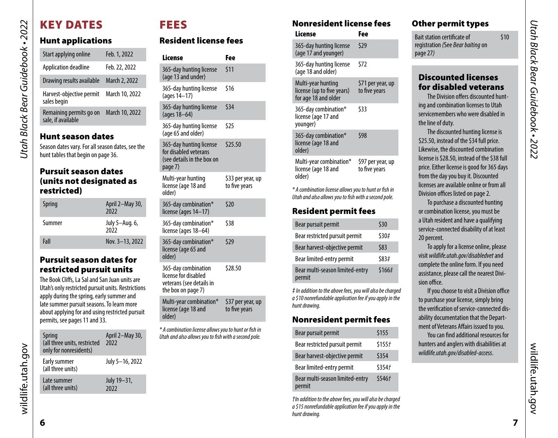# KEY DATES

*Utah Black Bear Guidebook • 2022*

<span id="page-3-0"></span>Utah Black Bear Guidebook • 2022

# Hunt applications

| Start applying online                                                                  | Feb. 1, 2022   |  |  |  |
|----------------------------------------------------------------------------------------|----------------|--|--|--|
| Application deadline                                                                   | Feb. 22, 2022  |  |  |  |
| Drawing results available                                                              | March 2, 2022  |  |  |  |
| Harvest-objective permit<br>sales begin                                                | March 10, 2022 |  |  |  |
| Remaining permits go on<br>sale, if available                                          | March 10, 2022 |  |  |  |
| <b>Hunt season dates</b>                                                               |                |  |  |  |
| Season dates vary. For all season dates, see the<br>hunt tables that begin on page 36. |                |  |  |  |

### Pursuit season dates (units not designated as restricted)

| Spring | April 2-May 30,<br>2022 |
|--------|-------------------------|
| Summer | July 5-Aug. 6,<br>2022  |
| Fall   | Nov. 3-13, 2022         |

### Pursuit season dates for restricted pursuit units

The Book Clifs, La Sal and San Juan units are Utah's only restricted pursuit units. Restrictions apply during the spring, early summer and late summer pursuit seasons. To learn more about applying for and using restricted pursuit permits, see [pages 11](#page-5-1) and 33.

| <b>Spring</b><br>(all three units, restricted<br>only for nonresidents) | April 2-May 30,<br>2022 |
|-------------------------------------------------------------------------|-------------------------|
| Early summer<br>(all three units)                                       | July 5-16, 2022         |
| Late summer<br>(all three units)                                        | July 19-31,<br>7022     |

# <span id="page-3-1"></span>FEES

# Resident license fees

| Fee                                |
|------------------------------------|
| \$11                               |
| \$16                               |
| \$34                               |
| \$25                               |
| \$25.50                            |
| \$33 per year, up<br>to five years |
| \$20                               |
| \$38                               |
| \$29                               |
| \$28.50                            |
| \$37 per year, up<br>to five years |
|                                    |

*\* A combination license allows you to hunt or fsh in Utah and also allows you to fsh with a second pole.* 

# Nonresident license fees

| License                                                                  | Fee                                |
|--------------------------------------------------------------------------|------------------------------------|
| 365-day hunting license<br>(age 17 and younger)                          | \$29                               |
| 365-day hunting license<br>(age 18 and older)                            | \$72                               |
| Multi-year hunting<br>license (up to five years)<br>for age 18 and older | \$71 per year, up<br>to five years |
| 365-day combination*<br>license (age 17 and<br>younger)                  | \$33                               |
| 365-day combination*<br>license (age 18 and<br>older)                    | \$98                               |
| Multi-year combination*<br>license (age 18 and<br>older)                 | \$97 per year, up<br>to five years |

*\* A combination license allows you to hunt or fsh in Utah and also allows you to fsh with a second pole.* 

# Resident permit fees

| Bear pursuit permit                       | \$30   |
|-------------------------------------------|--------|
| Bear restricted pursuit permit            | \$30#  |
| Bear harvest-objective permit             | \$83   |
| Bear limited-entry permit                 | \$83#  |
| Bear multi-season limited-entry<br>permit | \$166# |

*‡ In addition to the above fees, you will also be charged a \$10 nonrefundable application fee if you apply in the hunt drawing.* 

### Nonresident permit fees

| Bear pursuit permit                       | \$155              |
|-------------------------------------------|--------------------|
| Bear restricted pursuit permit            | \$155f             |
| Bear harvest-objective permit             | \$354              |
| Bear limited-entry permit                 | \$354 <sub>7</sub> |
| Bear multi-season limited-entry<br>permit | \$546f             |

*†In addition to the above fees, you will also be charged a \$15 nonrefundable application fee if you apply in the hunt drawing.* 

# Other permit types

Bait station certificate of  $\qquad \qquad$  \$10 registration *(*See *Bear baiting* on page 27*)* 

# Discounted licenses for disabled veterans

The Division offers discounted hunting and combination licenses to Utah servicemembers who were disabled in the line of duty.

The discounted hunting license is \$25.50, instead of the \$34 full price. Likewise, the discounted combination license is \$28.50, instead of the \$38 full price. Either license is good for 365 days from the day you buy it. Discounted licenses are available online or from all Division offices listed on page 2.

To purchase a discounted hunting or combination license, you must be a Utah resident and have a qualifying service-connected disability of at least 20 percent.

To apply for a license online, please visit *[wildlife.utah.gov/disabledvet](https://wildlife.utah.gov/disabledvet)* and complete the online form. If you need assistance, please call the nearest Division office.

If you choose to visit a Division office to purchase your license, simply bring the verifcation of service-connected disability documentation that the Department of Veterans Affairs issued to you.

You can fnd additional resources for hunters and anglers with disabilities at *[wildlife.utah.gov/disabled-access](https://wildlife.utah.gov/disabled-access)*.

**6**

wildlife.utah.gov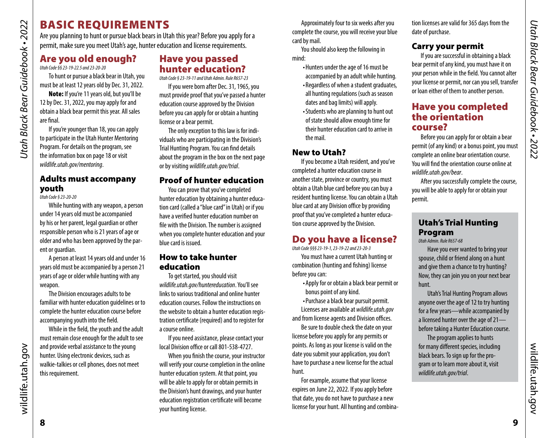Are you planning to hunt or pursue black bears in Utah this year? Before you apply for a permit, make sure you meet Utah's age, hunter education and license requirements.

# <span id="page-4-1"></span>Are you old enough?

*Utah Code §§ 23-19-22.5 and 23-20-20* 

*Utah Black Bear Guidebook • 2022*

<span id="page-4-0"></span>Utah Black Bear Guidebook • 2022

To hunt or pursue a black bear in Utah, you must be at least 12 years old by Dec. 31, 2022.

Note: If you're 11 years old, but you'll be 12 by Dec. 31, 2022, you may apply for and obtain a black bear permit this year. All sales are fnal.

If you're younger than 18, you can apply to participate in the Utah Hunter Mentoring Program. For details on the program, see the information box on page [18](#page-9-1) or visit *[wildlife.utah.gov/mentoring](https://wildlife.utah.gov/mentoring)*.

### Adults must accompany youth

*Utah Code § 23-20-20* 

While hunting with any weapon, a person under 14 years old must be accompanied by his or her parent, legal guardian or other responsible person who is 21 years of age or older and who has been approved by the parent or guardian.

A person at least 14 years old and under 16 years old must be accompanied by a person 21 years of age or older while hunting with any weapon.

The Division encourages adults to be familiar with hunter education guidelines or to complete the hunter education course before accompanying youth into the feld.

While in the feld, the youth and the adult must remain close enough for the adult to see and provide verbal assistance to the young hunter. Using electronic devices, such as walkie-talkies or cell phones, does not meet this requirement.

# Have you passed hunter education?

*Utah Code § 23-19-11 and Utah Admin. Rule R657-23* 

If you were born after Dec. 31, 1965, you must provide proof that you've passed a hunter education course approved by the Division before you can apply for or obtain a hunting license or a bear permit.

The only exception to this law is for individuals who are participating in the Division's Trial Hunting Program. You can fnd details about the program in the box on the next page or by visiting *[wildlife.utah.gov/trial](https://wildlife.utah.gov/trial)*.

### Proof of hunter education

You can prove that you've completed hunter education by obtaining a hunter education card (called a "blue card" in Utah) or if you have a verifed hunter education number on fle with the Division. The number is assigned when you complete hunter education and your blue card is issued.

### How to take hunter education

To get started, you should visit *[wildlife.utah.gov/huntereducation](https://wildlife.utah.gov/huntereducation)*. You'll see links to various traditional and online hunter education courses. Follow the instructions on the website to obtain a hunter education registration certifcate (required) and to register for a course online.

If you need assistance, please contact your local Division office or call 801-538-4727.

When you fnish the course, your instructor will verify your course completion in the online hunter education system. At that point, you will be able to apply for or obtain permits in the Division's hunt drawings, and your hunter education registration certifcate will become your hunting license.

Approximately four to six weeks after you complete the course, you will receive your blue card by mail.

You should also keep the following in mind:

- Hunters under the age of 16 must be accompanied by an adult while hunting.
- Regardless of when a student graduates, all hunting regulations (such as season dates and bag limits) will apply.
- Students who are planning to hunt out of state should allow enough time for their hunter education card to arrive in the mail.

### New to Utah?

If you become a Utah resident, and you've completed a hunter education course in another state, province or country, you must obtain a Utah blue card before you can buy a resident hunting license. You can obtain a Utah blue card at any Division office by providing proof that you've completed a hunter education course approved by the Division.

# <span id="page-4-2"></span>Do you have a license?

*Utah Code §§§ 23-19-1, 23-19-22 and 23-20-3* 

You must have a current Utah hunting or combination (hunting and fshing) license before you can:

> • Apply for or obtain a black bear permit or bonus point of any kind.

• Purchase a black bear pursuit permit. Licenses are available at *[wildlife.utah.gov](http://wildlife.utah.gov)* 

and from license agents and Division offices.

Be sure to double check the date on your license before you apply for any permits or points. As long as your license is valid on the date you submit your application, you don't have to purchase a new license for the actual hunt.

For example, assume that your license expires on June 22, 2022. If you apply before that date, you do not have to purchase a new license for your hunt. All hunting and combination licenses are valid for 365 days from the date of purchase.

# Carry your permit

If you are successful in obtaining a black bear permit of any kind, you must have it on your person while in the feld. You cannot alter your license or permit, nor can you sell, transfer or loan either of them to another person.

# <span id="page-4-4"></span>Have you completed the orientation course?

Before you can apply for or obtain a bear permit (of any kind) or a bonus point, you must complete an online bear orientation course. You will fnd the orientation course online at *[wildlife.utah.gov/bear](http://wildlife.utah.gov/bear)*.

After you successfully complete the course, you will be able to apply for or obtain your permit.

# <span id="page-4-3"></span>Utah's Trial Hunting Program

*Utah Admin. Rule R657-68* 

Have you ever wanted to bring your spouse, child or friend along on a hunt and give them a chance to try hunting? Now, they can join you on your next bear hunt.

Utah's Trial Hunting Program allows anyone over the age of 12 to try hunting for a few years—while accompanied by a licensed hunter over the age of 21 before taking a Hunter Education course.

The program applies to hunts for many diferent species, including black bears. To sign up for the program or to learn more about it, visit *[wildlife.utah.gov/trial](https://wildlife.utah.gov/trial)*.

wildlife.utah.gov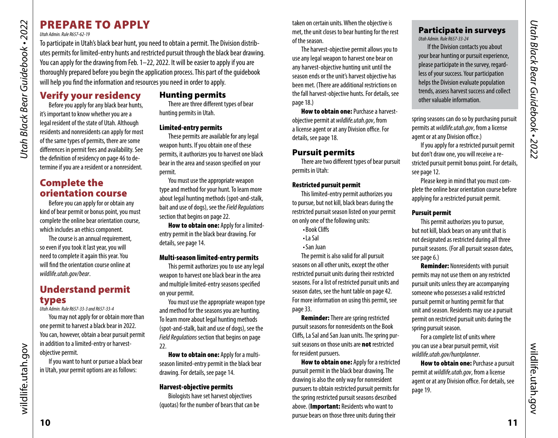# PREPARE TO APPLY

### *Utah Admin. Rule R657-62-19*

To participate in Utah's black bear hunt, you need to obtain a permit. The Division distributes permits for limited-entry hunts and restricted pursuit through the black bear drawing. You can apply for the drawing from Feb. 1–22, 2022. It will be easier to apply if you are thoroughly prepared before you begin the application process. This part of the guidebook will help you fnd the information and resources you need in order to apply.

# Verify your residency

Before you apply for any black bear hunts, it's important to know whether you are a legal resident of the state of Utah. Although residents and nonresidents can apply for most of the same types of permits, there are some diferences in permit fees and availability. See the defnition of residency on [page 46](#page-23-0) to determine if you are a resident or a nonresident.

# Complete the orientation course

Before you can apply for or obtain any kind of bear permit or bonus point, you must complete the online bear orientation course, which includes an ethics component.

The course is an annual requirement, so even if you took it last year, you will need to complete it again this year. You will fnd the orientation course online at *[wildlife.utah.gov/bear](http://wildlife.utah.gov/bear)*.

# Understand permit types

*Utah Admin. Rule R657-33-3 and R657-33-4* 

You may not apply for or obtain more than one permit to harvest a black bear in 2022. You can, however, obtain a bear pursuit permit in addition to a limited-entry or harvestobjective permit.

If you want to hunt or pursue a black bear in Utah, your permit options are as follows:

### <span id="page-5-2"></span>Hunting permits

There are three diferent types of bear hunting permits in Utah.

### Limited-entry permits

These permits are available for any legal weapon hunts. If you obtain one of these permits, it authorizes you to harvest one black bear in the area and season specifed on your permit.

You must use the appropriate weapon type and method for your hunt. To learn more about legal hunting methods (spot-and-stalk, bait and use of dogs), see the *Field Regulations*  section that begins on page 22.

How to obtain one: Apply for a limitedentry permit in the black bear drawing. For details, see page 14.

### Multi-season limited-entry permits

This permit authorizes you to use any legal weapon to harvest one black bear in the area and multiple limited-entry seasons specifed on your permit.

You must use the appropriate weapon type and method for the seasons you are hunting. To learn more about legal hunting methods (spot-and-stalk, bait and use of dogs), see the *Field Regulations* section that begins on page 22.

How to obtain one: Apply for a multiseason limited-entry permit in the black bear drawing. For details, see page 14.

### Harvest-objective permits

Biologists have set harvest objectives (quotas) for the number of bears that can be taken on certain units. When the objective is met, the unit closes to bear hunting for the rest of the season.

The harvest-objective permit allows you to use any legal weapon to harvest one bear on any harvest-objective hunting unit until the season ends or the unit's harvest objective has been met. (There are additional restrictions on the fall harvest-objective hunts. For details, see page 18.)

**How to obtain one: Purchase a harvest**objective permit at *[wildlife.utah.gov](http://wildlife.utah.gov)*, from a license agent or at any Division office. For details, see page 18.

### Pursuit permits

There are two diferent types of bear pursuit permits in Utah:

### Restricted pursuit permit

This limited-entry permit authorizes you to pursue, but not kill, black bears during the restricted pursuit season listed on your permit on only one of the following units:

- Book Clifs
- La Sal
- San Juan

The permit is also valid for all pursuit seasons on all other units, except the other restricted pursuit units during their restricted seasons. For a list of restricted pursuit units and season dates, see the hunt table on [page 42](#page-21-0). For more information on using this permit, see page 33.

**Reminder:** There are spring restricted pursuit seasons for nonresidents on the Book Clifs, La Sal and San Juan units. The spring pursuit seasons on those units are not restricted for resident pursuers.

**How to obtain one: Apply for a restricted** pursuit permit in the black bear drawing. The drawing is also the only way for nonresident pursuers to obtain restricted pursuit permits for the spring restricted pursuit seasons described above. (Important: Residents who want to pursue bears on those three units during their

### Participate in surveys *Utah Admin. Rule R657-33-24*

If the Division contacts you about your bear hunting or pursuit experience, please participate in the survey, regardless of your success. Your participation helps the Division evaluate population trends, assess harvest success and collect other valuable information.

spring seasons can do so by purchasing pursuit permits at *[wildlife.utah.gov](http://wildlife.utah.gov)*, from a license agent or at any Division office.)

If you apply for a restricted pursuit permit but don't draw one, you will receive a restricted pursuit permit bonus point. For details, see page 12.

Please keep in mind that you must complete the online bear orientation course before applying for a restricted pursuit permit.

### <span id="page-5-1"></span>Pursuit permit

This permit authorizes you to pursue, but not kill, black bears on any unit that is not designated as restricted during all three pursuit seasons. (For all pursuit season dates, see [page 6](#page-3-1).)

Reminder: Nonresidents with pursuit permits may not use them on any restricted pursuit units unless they are accompanying someone who possesses a valid restricted pursuit permit or hunting permit for that unit and season. Residents may use a pursuit permit on restricted pursuit units during the spring pursuit season.

For a complete list of units where you can use a bear pursuit permit, visit *[wildlife.utah.gov/](http://wildlife.utah.gov/maps)huntplanner*.

How to obtain one: Purchase a pursuit permit at *[wildlife.utah.gov](http://wildlife.utah.gov)*, from a license agent or at any Division office. For details, see page 19.

<span id="page-5-0"></span>*Utah Black Bear Guidebook • 2022*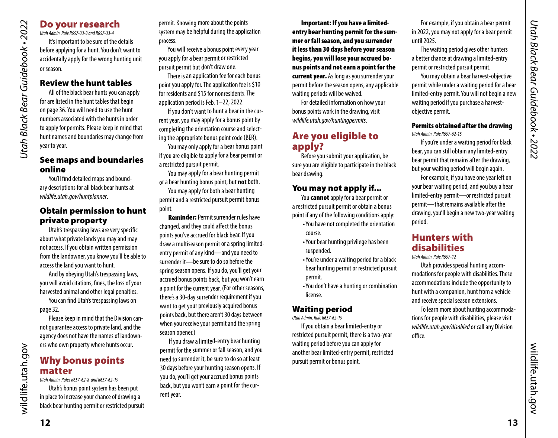### Do your research

*Utah Admin. Rule R657-33-3 and R657-33-4*  It's important to be sure of the details before applying for a hunt. You don't want to accidentally apply for the wrong hunting unit or season.

### Review the hunt tables

*Utah Black Bear Guidebook • 2022*

<span id="page-6-0"></span>**Utah Black Bear Guidebook • 2022** 

All of the black bear hunts you can apply for are listed in the hunt tables that begin on [page 36.](#page-18-1) You will need to use the hunt numbers associated with the hunts in order to apply for permits. Please keep in mind that hunt names and boundaries may change from year to year.

### See maps and boundaries online

You'll fnd detailed maps and boundary descriptions for all black bear hunts at *[wildlife.utah.gov/huntplanner](https://wildlife.utah.gov/huntplanner)*.

### Obtain permission to hunt private property

Utah's trespassing laws are very specifc about what private lands you may and may not access. If you obtain written permission from the landowner, you know you'll be able to access the land you want to hunt.

And by obeying Utah's trespassing laws, you will avoid citations, fnes, the loss of your harvested animal and other legal penalties.

You can fnd Utah's trespassing laws on page 32.

Please keep in mind that the Division cannot guarantee access to private land, and the agency does not have the names of landowners who own property where hunts occur.

# Why bonus points matter

*Utah Admin. Rules R657-62-8 and R657-62-19* 

Utah's bonus point system has been put in place to increase your chance of drawing a black bear hunting permit or restricted pursuit permit. Knowing more about the points system may be helpful during the application process.

You will receive a bonus point every year you apply for a bear permit or restricted pursuit permit but don't draw one.

There is an application fee for each bonus point you apply for. The application fee is \$10 for residents and \$15 for nonresidents. The application period is Feb. 1–22, 2022.

If you don't want to hunt a bear in the current year, you may apply for a bonus point by completing the orientation course and selecting the appropriate bonus point code (BER).

You may only apply for a bear bonus point if you are eligible to apply for a bear permit or a restricted pursuit permit.

You may apply for a bear hunting permit or a bear hunting bonus point, but **not** both.

You may apply for both a bear hunting permit and a restricted pursuit permit bonus point.

Reminder: Permit surrender rules have changed, and they could afect the bonus points you've accrued for black bear. If you draw a multiseason permit or a spring limitedentry permit of any kind—and you need to surrender it—be sure to do so before the spring season opens. If you do, you'll get your accrued bonus points back, but you won't earn a point for the current year. (For other seasons, there's a 30-day surrender requirement if you want to get your previously acquired bonus points back, but there aren't 30 days between when you receive your permit and the spring season opener.)

If you draw a limited-entry bear hunting permit for the summer or fall season, and you need to surrender it, be sure to do so at least 30 days before your hunting season opens. If you do, you'll get your accrued bonus points back, but you won't earn a point for the current year.

Important: If you have a limitedentry bear hunting permit for the summer or fall season, and you surrender it less than 30 days before your season begins, you will lose your accrued bonus points and not earn a point for the current year. As long as you surrender your permit before the season opens, any applicable waiting periods will be waived.

For detailed information on how your bonus points work in the drawing, visit *[wildlife.utah.gov/huntingpermits](https://wildlife.utah.gov/huntingpermits)*.

# Are you eligible to apply?

Before you submit your application, be sure you are eligible to participate in the black bear drawing.

### You may not apply if...

You **cannot** apply for a bear permit or a restricted pursuit permit or obtain a bonus point if any of the following conditions apply:

- You have not completed the orientation course.
- Your bear hunting privilege has been suspended.
- You're under a waiting period for a black bear hunting permit or restricted pursuit permit.
- You don't have a hunting or combination license.

# Waiting period

*Utah Admin. Rule R657-62-19* 

If you obtain a bear limited-entry or restricted pursuit permit, there is a two-year waiting period before you can apply for another bear limited-entry permit, restricted pursuit permit or bonus point.

For example, if you obtain a bear permit in 2022, you may not apply for a bear permit until 2025.

The waiting period gives other hunters a better chance at drawing a limited-entry permit or restricted pursuit permit.

You may obtain a bear harvest-objective permit while under a waiting period for a bear limited-entry permit. You will not begin a new waiting period if you purchase a harvestobjective permit.

### Permits obtained after the drawing *Utah Admin. Rule R657-62-15*

If you're under a waiting period for black bear, you can still obtain any limited-entry bear permit that remains after the drawing, but your waiting period will begin again.

For example, if you have one year left on your bear waiting period, and you buy a bear limited-entry permit—or restricted pursuit permit—that remains available after the drawing, you'll begin a new two-year waiting period.

# Hunters with disabilities

*Utah Admin. Rule R657-12* 

Utah provides special hunting accommodations for people with disabilities. These accommodations include the opportunity to hunt with a companion, hunt from a vehicle and receive special season extensions.

To learn more about hunting accommodations for people with disabilities, please visit *[wildlife.utah.gov/disabled](http://wildlife.utah.gov/disabled)* or call any Division office.

wildlife.utah.gov

wildlife.utah.gov

wildlife.utah.gov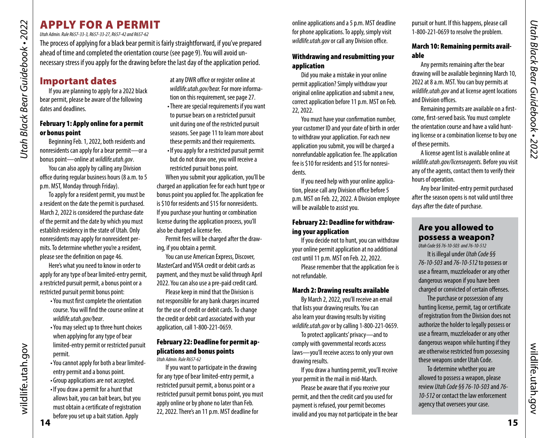# <span id="page-7-0"></span>APPLY FOR A PERMIT

*Utah Admin. Rule R657-33-3, R657-33-27, R657-42 and R657-62* 

The process of applying for a black bear permit is fairly straightforward, if you've prepared ahead of time and completed the orientation course (see page [9\)](#page-4-4). You will avoid unnecessary stress if you apply for the drawing before the last day of the application period.

# Important dates

If you are planning to apply for a 2022 black bear permit, please be aware of the following dates and deadlines.

### February 1: Apply online for a permit or bonus point

Beginning Feb. 1, 2022, both residents and nonresidents can apply for a bear permit—or a bonus point—online at *[wildlife.utah.gov](http://wildlife.utah.gov)*.

You can also apply by calling any Division office during regular business hours (8 a.m. to 5 p.m. MST, Monday through Friday).

To apply for a resident permit, you must be a resident on the date the permit is purchased. March 2, 2022 is considered the purchase date of the permit and the date by which you must establish residency in the state of Utah. Only nonresidents may apply for nonresident permits. To determine whether you're a resident, please see the defnition on page [46](#page-23-0).

Here's what you need to know in order to apply for any type of bear limited-entry permit, a restricted pursuit permit, a bonus point or a restricted pursuit permit bonus point:

- You must frst complete the orientation course. You will fnd the course online at *[wildlife.utah.gov/bear](https://wildlife.utah.gov/bear)*.
- You may select up to three hunt choices when applying for any type of bear limited-entry permit or restricted pursuit permit.
- You cannot apply for both a bear limitedentry permit and a bonus point.
- Group applications are not accepted.
- If you draw a permit for a hunt that allows bait, you can bait bears, but you must obtain a certifcate of registration before you set up a bait station. Apply

at any DWR office or register online at *[wildlife.utah.gov/bear.](http://wildlife.utah.gov/bear)* For more information on this requirement, see page 27. • There are special requirements if you want to pursue bears on a restricted pursuit unit during one of the restricted pursuit seasons. See page 11 to learn more about

these permits and their requirements. • If you apply for a restricted pursuit permit but do not draw one, you will receive a restricted pursuit bonus point.

When you submit your application, you'll be charged an application fee for each hunt type or bonus point you applied for. The application fee is \$10 for residents and \$15 for nonresidents. If you purchase your hunting or combination license during the application process, you'll also be charged a license fee.

Permit fees will be charged after the drawing, if you obtain a permit.

You can use American Express, Discover, MasterCard and VISA credit or debit cards as payment, and they must be valid through April 2022. You can also use a pre-paid credit card.

Please keep in mind that the Division is not responsible for any bank charges incurred for the use of credit or debit cards. To change the credit or debit card associated with your application, call 1-800-221-0659.

### February 22: Deadline for permit applications and bonus points

*Utah Admin. Rule R657-62* 

If you want to participate in the drawing for any type of bear limited-entry permit, a restricted pursuit permit, a bonus point or a restricted pursuit permit bonus point, you must apply online or by phone no later than Feb. 22, 2022. There's an 11 p.m. MST deadline for

online applications and a 5 p.m. MST deadline for phone applications. To apply, simply visit *[wildlife.utah.gov](http://wildlife.utah.gov)* or call any Division office.

### Withdrawing and resubmitting your application

Did you make a mistake in your online permit application? Simply withdraw your original online application and submit a new, correct application before 11 p.m. MST on Feb. 22, 2022.

You must have your confrmation number, your customer ID and your date of birth in order to withdraw your application. For each new application you submit, you will be charged a nonrefundable application fee. The application fee is \$10 for residents and \$15 for nonresidents.

If you need help with your online application, please call any Division office before 5 p.m. MST on Feb. 22, 2022. A Division employee will be available to assist you.

### February 22: Deadline for withdrawing your application

If you decide not to hunt, you can withdraw your online permit application at no additional cost until 11 p.m. MST on Feb. 22, 2022.

Please remember that the application fee is not refundable.

### March 2: Drawing results available

By March 2, 2022, you'll receive an email that lists your drawing results. You can also learn your drawing results by visiting *[wildlife.utah.gov](http://wildlife.utah.gov)* or by calling 1-800-221-0659.

To protect applicants' privacy—and to comply with governmental records access laws—you'll receive access to only your own drawing results.

If you draw a hunting permit, you'll receive your permit in the mail in mid-March.

Please be aware that if you receive your permit, and then the credit card you used for payment is refused, your permit becomes invalid and you may not participate in the bear

pursuit or hunt. If this happens, please call 1-800-221-0659 to resolve the problem.

### March 10: Remaining permits available

Any permits remaining after the bear drawing will be available beginning March 10, 2022 at 8 a.m. MST. You can buy permits at *[wildlife.utah.gov](http://wildlife.utah.gov)* and at license agent locations and Division offices.

Remaining permits are available on a frstcome, frst-served basis. You must complete the orientation course and have a valid hunting license or a combination license to buy one of these permits.

A license agent list is available online at *[wildlife.utah.gov/licenseagents](http://wildlife.utah.gov/licenseagents).* Before you visit any of the agents, contact them to verify their hours of operation.

Any bear limited-entry permit purchased after the season opens is not valid until three days after the date of purchase.

### Are you allowed to possess a weapon?

*Utah Code §§ 76-10-503 and 76-10-512* 

It is illegal under *Utah Code §§ 76-10-503* and *76-10-512* to possess or use a frearm, muzzleloader or any other dangerous weapon if you have been charged or convicted of certain offenses.

The purchase or possession of any hunting license, permit, tag or certifcate of registration from the Division does not authorize the holder to legally possess or use a frearm, muzzleloader or any other dangerous weapon while hunting if they are otherwise restricted from possessing these weapons under Utah Code.

To determine whether you are allowed to possess a weapon, please review *Utah Code §§ 76-10-503* and *76- 10-512* or contact the law enforcement agency that oversees your case.

wildlife.utah.gov

wildlife.utah.gov

wildlife.utah.gov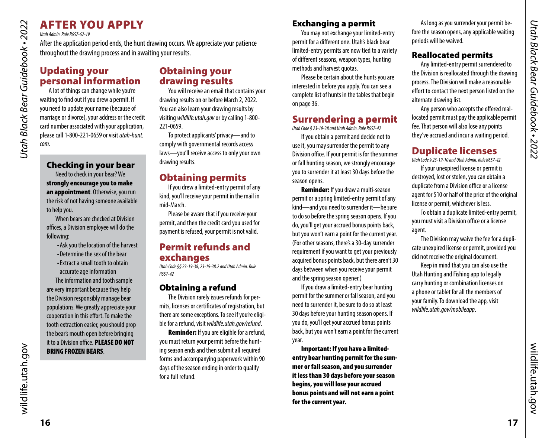# AFTER YOU APPLY

*Utah Admin. Rule R657-62-19* 

*Utah Black Bear Guidebook • 2022*

<span id="page-8-0"></span>Utah Black Bear Guidebook • 2022

After the application period ends, the hunt drawing occurs. We appreciate your patience throughout the drawing process and in awaiting your results.

# Updating your personal information

A lot of things can change while you're waiting to fnd out if you drew a permit. If you need to update your name (because of marriage or divorce), your address or the credit card number associated with your application, please call 1-800-221-0659 or visit *utah-hunt. com*.

# Checking in your bear

Need to check in your bear? We strongly encourage you to make an appointment. Otherwise, you run the risk of not having someone available to help you.

When bears are checked at Division offices, a Division employee will do the following:

- Ask you the location of the harvest
- Determine the sex of the bear • Extract a small tooth to obtain
- accurate age information

The information and tooth sample are very important because they help the Division responsibly manage bear populations. We greatly appreciate your cooperation in this effort. To make the tooth extraction easier, you should prop the bear's mouth open before bringing it to a Division office. PLEASE DO NOT BRING FROZEN BEARS.

# Obtaining your drawing results

You will receive an email that contains your drawing results on or before March 2, 2022. You can also learn your drawing results by visiting *[wildlife.utah.gov](https://wildlife.utah.gov)* or by calling 1-800- 221-0659.

To protect applicants' privacy—and to comply with governmental records access laws—you'll receive access to only your own drawing results.

# Obtaining permits

If you drew a limited-entry permit of any kind, you'll receive your permit in the mail in mid-March.

Please be aware that if you receive your permit, and then the credit card you used for payment is refused, your permit is not valid.

# Permit refunds and exchanges

*Utah Code §§ 23-19-38, 23-19-38.2 and Utah Admin. Rule R657-42* 

### Obtaining a refund

The Division rarely issues refunds for permits, licenses or certifcates of registration, but there are some exceptions. To see if you're eligible for a refund, visit *[wildlife.utah.gov/refund](http://wildlife.utah.gov/refund)*.

Reminder: If you are eligible for a refund, you must return your permit before the hunting season ends and then submit all required forms and accompanying paperwork within 90 days of the season ending in order to qualify for a full refund.

# Exchanging a permit

You may not exchange your limited-entry permit for a diferent one. Utah's black bear limited-entry permits are now tied to a variety of diferent seasons, weapon types, hunting methods and harvest quotas.

Please be certain about the hunts you are interested in before you apply. You can see a complete list of hunts in the tables that begin on [page 36.](#page-18-1)

# Surrendering a permit

*Utah Code § 23-19-38 and Utah Admin. Rule R657-42* 

If you obtain a permit and decide not to use it, you may surrender the permit to any Division office. If your permit is for the summer or fall hunting season, we strongly encourage you to surrender it at least 30 days before the season opens.

Reminder: If you draw a multi-season permit or a spring limited-entry permit of any kind—and you need to surrender it—be sure to do so before the spring season opens. If you do, you'll get your accrued bonus points back, but you won't earn a point for the current year. (For other seasons, there's a 30-day surrender requirement if you want to get your previously acquired bonus points back, but there aren't 30 days between when you receive your permit and the spring season opener.)

If you draw a limited-entry bear hunting permit for the summer or fall season, and you need to surrender it, be sure to do so at least 30 days before your hunting season opens. If you do, you'll get your accrued bonus points back, but you won't earn a point for the current year.

Important: If you have a limitedentry bear hunting permit for the summer or fall season, and you surrender it less than 30 days before your season begins, you will lose your accrued bonus points and will not earn a point for the current year.

As long as you surrender your permit before the season opens, any applicable waiting periods will be waived.

# Reallocated permits

Any limited-entry permit surrendered to the Division is reallocated through the drawing process. The Division will make a reasonable efort to contact the next person listed on the alternate drawing list.

Any person who accepts the offered reallocated permit must pay the applicable permit fee. That person will also lose any points they've accrued and incur a waiting period.

# Duplicate licenses

*Utah Code § 23-19-10 and Utah Admin. Rule R657-42* 

If your unexpired license or permit is destroyed, lost or stolen, you can obtain a duplicate from a Division office or a license agent for \$10 or half of the price of the original license or permit, whichever is less.

To obtain a duplicate limited-entry permit, you must visit a Division office or a license agent.

The Division may waive the fee for a duplicate unexpired license or permit, provided you did not receive the original document.

Keep in mind that you can also use the Utah Hunting and Fishing app to legally carry hunting or combination licenses on a phone or tablet for all the members of your family. To download the app, visit *[wildlife.utah.gov/mobileapp](https://wildlife.utah.gov/mobileapp)*.

wildlife.utah.gov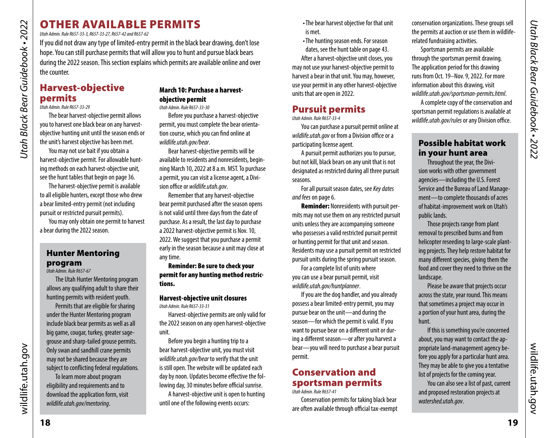# <span id="page-9-0"></span>OTHER AVAILABLE PERMITS

*Utah Admin. Rule R657-33-3, R657-33-27, R657-42 and R657-62* 

If you did not draw any type of limited-entry permit in the black bear drawing, don't lose hope. You can still purchase permits that will allow you to hunt and pursue black bears during the 2022 season. This section explains which permits are available online and over the counter.

# Harvest-objective permits

### *Utah Admin. Rule R657-33-29*

The bear harvest-objective permit allows you to harvest one black bear on any harvestobjective hunting unit until the season ends or the unit's harvest objective has been met.

You may not use bait if you obtain a harvest-objective permit. For allowable hunting methods on each harvest-objective unit, see the hunt tables that begin on page 36.

The harvest-objective permit is available to all eligible hunters, except those who drew a bear limited-entry permit (not including pursuit or restricted pursuit permits).

You may only obtain one permit to harvest a bear during the 2022 season.

### <span id="page-9-1"></span>Hunter Mentoring program

*Utah Admin. Rule R657-67* 

The Utah Hunter Mentoring program allows any qualifying adult to share their hunting permits with resident youth.

Permits that are eligible for sharing under the Hunter Mentoring program include black bear permits as well as all big game, cougar, turkey, greater sagegrouse and sharp-tailed grouse permits. Only swan and sandhill crane permits may not be shared because they are subject to conficting federal regulations.

To learn more about program eligibility and requirements and to download the application form, visit *[wildlife.utah.gov/mentoring](https://wildlife.utah.gov/mentoring)*.

# March 10: Purchase a harvestobjective permit

*Utah Admin. Rule R657-33-30* 

Before you purchase a harvest-objective permit, you must complete the bear orientation course, which you can fnd online at *[wildlife.utah.gov/bear](https://wildlife.utah.gov/bear)*.

Bear harvest-objective permits will be available to residents and nonresidents, beginning March 10, 2022 at 8 a.m. MST. To purchase a permit, you can visit a license agent, a Division office or *[wildlife.utah.gov](https://wildlife.utah.gov)*.

Remember that any harvest-objective bear permit purchased after the season opens is not valid until three days from the date of purchase. As a result, the last day to purchase a 2022 harvest-objective permit is Nov. 10, 2022. We suggest that you purchase a permit early in the season because a unit may close at any time.

Reminder: Be sure to check your permit for any hunting method restrictions.

### Harvest-objective unit closures *Utah Admin. Rule R657-33-31*

Harvest-objective permits are only valid for the 2022 season on any open harvest-objective unit.

Before you begin a hunting trip to a bear harvest-objective unit, you must visit *[wildlife.utah.gov/bear](https://wildlife.utah.gov/bear)* to verify that the unit is still open. The website will be updated each day by noon. Updates become effective the following day, 30 minutes before official sunrise.

A harvest-objective unit is open to hunting until one of the following events occurs:

- The bear harvest objective for that unit is met.
- The hunting season ends. For season dates, see the hunt table on page 43.

After a harvest-objective unit closes, you may not use your harvest-objective permit to harvest a bear in that unit. You may, however, use your permit in any other harvest-objective units that are open in 2022.

# Pursuit permits

*Utah Admin. Rule R657-33-4* 

You can purchase a pursuit permit online at *[wildlife.utah.gov](https://wildlife.utah.gov)* or from a Division office or a participating license agent.

A pursuit permit authorizes you to pursue, but not kill, black bears on any unit that is not designated as restricted during all three pursuit seasons.

For all pursuit season dates, see *Key dates and fees* on page 6.

Reminder: Nonresidents with pursuit permits may not use them on any restricted pursuit units unless they are accompanying someone who possesses a valid restricted pursuit permit or hunting permit for that unit and season. Residents may use a pursuit permit on restricted pursuit units during the spring pursuit season.

For a complete list of units where you can use a bear pursuit permit, visit *[wildlife.utah.gov/huntplanner](https://wildlife.utah.gov/huntplanner)*.

If you are the dog handler, and you already possess a bear limited-entry permit, you may pursue bear on the unit—and during the season—for which the permit is valid. If you want to pursue bear on a diferent unit or during a diferent season—or after you harvest a bear—you will need to purchase a bear pursuit permit.

### Conservation and sportsman permits *Utah Admin. Rule R657-41*

Conservation permits for taking black bear are often available through official tax-exempt conservation organizations. These groups sell the permits at auction or use them in wildliferelated fundraising activities.

Sportsman permits are available through the sportsman permit drawing. The application period for this drawing runs from Oct. 19–Nov. 9, 2022. For more information about this drawing, visit *[wildlife.utah.gov/sportsman-permits.html](https://wildlife.utah.gov/sportsman-permits.html)*.

A complete copy of the conservation and sportsman permit regulations is available at *wildlife.utah.gov/rules* or any Division office.

# Possible habitat work in your hunt area

Throughout the year, the Division works with other government agencies—including the U.S. Forest Service and the Bureau of Land Management—to complete thousands of acres of habitat-improvement work on Utah's public lands.

Those projects range from plant removal to prescribed burns and from helicopter reseeding to large-scale planting projects. They help restore habitat for many diferent species, giving them the food and cover they need to thrive on the landscape.

Please be aware that projects occur across the state, year round. This means that sometimes a project may occur in a portion of your hunt area, during the hunt.

If this is something you're concerned about, you may want to contact the appropriate land-management agency before you apply for a particular hunt area. They may be able to give you a tentative list of projects for the coming year.

You can also see a list of past, current and proposed restoration projects at *[watershed.utah.gov](https://watershed.utah.gov)*.

wildlife.utah.gov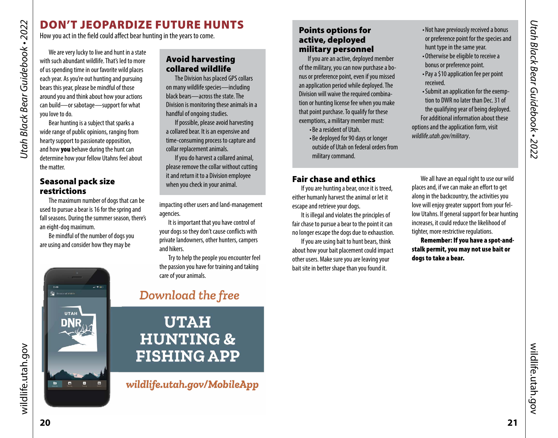# DON'T JEOPARDIZE FUTURE HUNTS

How you act in the field could affect bear hunting in the years to come.

We are very lucky to live and hunt in a state with such abundant wildlife. That's led to more of us spending time in our favorite wild places each year. As you're out hunting and pursuing bears this year, please be mindful of those around you and think about how your actions can build—or sabotage—support for what you love to do.

Bear hunting is a subject that sparks a wide range of public opinions, ranging from hearty support to passionate opposition, and how **you** behave during the hunt can determine how your fellow Utahns feel about the matter.

### Seasonal pack size restrictions

Division of Wildlife

 $\blacksquare$  $\blacksquare$  $\blacksquare$ 

**UTAH** 

The maximum number of dogs that can be used to pursue a bear is 16 for the spring and fall seasons. During the summer season, there's an eight-dog maximum.

Be mindful of the number of dogs you are using and consider how they may be

### Avoid harvesting collared wildlife

The Division has placed GPS collars on many wildlife species—including black bears—across the state. The Division is monitoring these animals in a handful of ongoing studies.

If possible, please avoid harvesting a collared bear. It is an expensive and time-consuming process to capture and collar replacement animals.

If you do harvest a collared animal, please remove the collar without cutting it and return it to a Division employee when you check in your animal.

impacting other users and land-management agencies.

It is important that you have control of your dogs so they don't cause conficts with private landowners, other hunters, campers and hikers.

Try to help the people you encounter feel the passion you have for training and taking care of your animals.

# Download the free

# **UTAH HUNTING & FISHING APP**

wildlife.utah.gov/MobileApp

### <span id="page-10-1"></span>Points options for active, deployed military personnel

If you are an active, deployed member of the military, you can now purchase a bonus or preference point, even if you missed an application period while deployed. The Division will waive the required combination or hunting license fee when you make that point purchase. To qualify for these exemptions, a military member must:

> • Be a resident of Utah. • Be deployed for 90 days or longer outside of Utah on federal orders from military command.

### Fair chase and ethics

If you are hunting a bear, once it is treed, either humanly harvest the animal or let it escape and retrieve your dogs.

It is illegal and violates the principles of fair chase to pursue a bear to the point it can no longer escape the dogs due to exhaustion.

If you are using bait to hunt bears, think about how your bait placement could impact other users. Make sure you are leaving your bait site in better shape than you found it.

- Not have previously received a bonus or preference point for the species and hunt type in the same year.
- Otherwise be eligible to receive a bonus or preference point.
- Pay a \$10 application fee per point received.
- Submit an application for the exemption to DWR no later than Dec. 31 of the qualifying year of being deployed. For additional information about these options and the application form, visit *[wildlife.utah.gov/military](https://wildlife.utah.gov/military)*.

We all have an equal right to use our wild places and, if we can make an efort to get along in the backcountry, the activities you love will enjoy greater support from your fellow Utahns. If general support for bear hunting increases, it could reduce the likelihood of tighter, more restrictive regulations.

Remember: If you have a spot-andstalk permit, you may not use bait or dogs to take a bear.

<span id="page-10-0"></span>*Utah Black Bear Guidebook • 2022*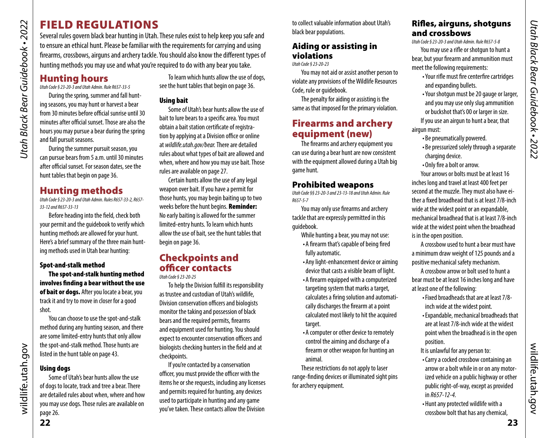# FIELD REGULATIONS

Several rules govern black bear hunting in Utah. These rules exist to help keep you safe and to ensure an ethical hunt. Please be familiar with the requirements for carrying and using frearms, crossbows, airguns and archery tackle. You should also know the diferent types of hunting methods you may use and what you're required to do with any bear you take.

# Hunting hours

*Utah Black Bear Guidebook • 2022*

<span id="page-11-0"></span>Utah Black Bear Guidebook • 2022

*Utah Code § 23-20-3 and Utah Admin. Rule R657-33-5* 

During the spring, summer and fall hunting seasons, you may hunt or harvest a bear from 30 minutes before official sunrise until 30 minutes after official sunset. Those are also the hours you may pursue a bear during the spring and fall pursuit seasons.

During the summer pursuit season, you can pursue bears from 5 a.m. until 30 minutes after official sunset. For season dates, see the hunt tables that begin on [page 36.](#page-18-1)

# Hunting methods

*Utah Code § 23-20-3 and Utah Admin. Rules R657-33-2, R657- 33-12 and R657-33-13* 

Before heading into the feld, check both your permit and the guidebook to verify which hunting methods are allowed for your hunt. Here's a brief summary of the three main hunting methods used in Utah bear hunting:

### Spot-and-stalk method

The spot-and-stalk hunting method involves fnding a bear without the use of bait or dogs. After you locate a bear, you track it and try to move in closer for a good shot.

You can choose to use the spot-and-stalk method during any hunting season, and there are some limited-entry hunts that only allow the spot-and-stalk method. Those hunts are listed in the hunt table on [page 43.](#page-21-1)

### Using dogs

Some of Utah's bear hunts allow the use of dogs to locate, track and tree a bear. There are detailed rules about when, where and how you may use dogs. Those rules are available on page 26.

To learn which hunts allow the use of dogs, see the hunt tables that begin on [page 36](#page-18-1).

### Using bait

Some of Utah's bear hunts allow the use of bait to lure bears to a specifc area. You must obtain a bait station certifcate of registration by applying at a Division office or online at *[wildlife.utah.gov/bear.](http://wildlife.utah.gov/bear)* There are detailed rules about what types of bait are allowed and when, where and how you may use bait. Those rules are available on page 27.

Certain hunts allow the use of any legal weapon over bait. If you have a permit for those hunts, you may begin baiting up to two weeks before the hunt begins. Reminder: No early baiting is allowed for the summer limited-entry hunts. To learn which hunts allow the use of bait, see the hunt tables that begin on [page 36](#page-18-1).

# Checkpoints and officer contacts

### *Utah Code § 23-20-25*

To help the Division fulfll its responsibility as trustee and custodian of Utah's wildlife, Division conservation officers and biologists monitor the taking and possession of black bears and the required permits, frearms and equipment used for hunting. You should expect to encounter conservation officers and biologists checking hunters in the feld and at checkpoints.

If you're contacted by a conservation officer, you must provide the officer with the items he or she requests, including any licenses and permits required for hunting, any devices used to participate in hunting and any game you've taken. These contacts allow the Division

to collect valuable information about Utah's black bear populations.

# Aiding or assisting in violations

*Utah Code § 23-20-23* 

You may not aid or assist another person to violate any provisions of the Wildlife Resources Code, rule or guidebook.

The penalty for aiding or assisting is the same as that imposed for the primary violation.

# Firearms and archery equipment (new)

The firearms and archery equipment you can use during a bear hunt are now consistent with the equipment allowed during a Utah big game hunt.

### Prohibited weapons

*Utah Code §§ 23-20-3 and 23-13-18 and Utah Admin. Rule R657-5-7* 

You may only use frearms and archery tackle that are expressly permitted in this guidebook.

- While hunting a bear, you may not use:
- A frearm that's capable of being fred fully automatic.
- Any light-enhancement device or aiming device that casts a visible beam of light.
- A frearm equipped with a computerized targeting system that marks a target, calculates a fring solution and automatically discharges the frearm at a point calculated most likely to hit the acquired target.
- A computer or other device to remotely control the aiming and discharge of a frearm or other weapon for hunting an animal.

These restrictions do not apply to laser range-fnding devices or illuminated sight pins for archery equipment.

# Rifes, airguns, shotguns and crossbows

*Utah Code § 23-20-3 and Utah Admin. Rule R657-5-8* 

You may use a rife or shotgun to hunt a bear, but your frearm and ammunition must meet the following requirements:

- Your rife must fre centerfre cartridges and expanding bullets.
- Your shotgun must be 20 gauge or larger, and you may use only slug ammunition or buckshot that's 00 or larger in size. If you use an airgun to hunt a bear, that airgun must:
	- Be pneumatically powered.
	- Be pressurized solely through a separate charging device.
	- Only fre a bolt or arrow.

Your arrows or bolts must be at least 16 inches long and travel at least 400 feet per second at the muzzle. They must also have either a fxed broadhead that is at least 7/8-inch wide at the widest point or an expandable, mechanical broadhead that is at least 7/8-inch wide at the widest point when the broadhead is in the open position.

A crossbow used to hunt a bear must have a minimum draw weight of 125 pounds and a positive mechanical safety mechanism.

A crossbow arrow or bolt used to hunt a bear must be at least 16 inches long and have at least one of the following:

- Fixed broadheads that are at least 7/8 inch wide at the widest point.
- Expandable, mechanical broadheads that are at least 7/8-inch wide at the widest point when the broadhead is in the open position.
- It is unlawful for any person to:
- Carry a cocked crossbow containing an arrow or a bolt while in or on any motorized vehicle on a public highway or other public right-of-way, except as provided in *R657-12-4.*
- Hunt any protected wildlife with a crossbow bolt that has any chemical,

wildlife.utah.gov

wildlife.utah.gov

wildlife.utah.gov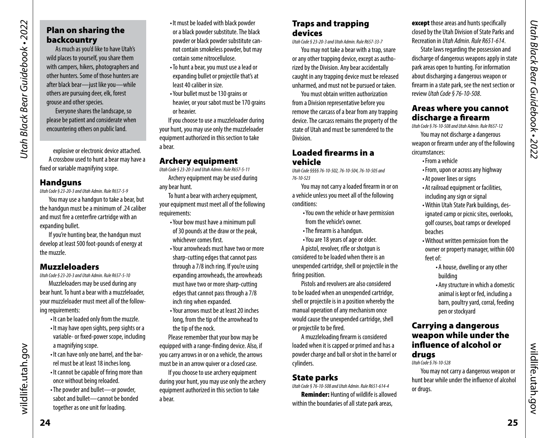# Plan on sharing the backcountry

As much as you'd like to have Utah's wild places to yourself, you share them with campers, hikers, photographers and other hunters. Some of those hunters are after black bear—just like you—while others are pursuing deer, elk, forest grouse and other species.

Everyone shares the landscape, so please be patient and considerate when encountering others on public land.

explosive or electronic device attached. A crossbow used to hunt a bear may have a fxed or variable magnifying scope.

### **Handguns**

*Utah Code § 23-20-3 and Utah Admin. Rule R657-5-9* 

You may use a handgun to take a bear, but the handgun must be a minimum of .24 caliber and must fre a centerfre cartridge with an expanding bullet.

If you're hunting bear, the handgun must develop at least 500 foot-pounds of energy at the muzzle.

### Muzzleloaders

*Utah Code § 23-20-3 and Utah Admin. Rule R657-5-10* 

Muzzleloaders may be used during any bear hunt. To hunt a bear with a muzzleloader, your muzzleloader must meet all of the following requirements:

- It can be loaded only from the muzzle.
- It may have open sights, peep sights or a variable- or fxed-power scope, including a magnifying scope.
- It can have only one barrel, and the barrel must be at least 18 inches long.
- It cannot be capable of fring more than once without being reloaded.
- The powder and bullet—or powder, sabot and bullet—cannot be bonded together as one unit for loading.
- It must be loaded with black powder or a black powder substitute. The black powder or black powder substitute cannot contain smokeless powder, but may contain some nitrocellulose.
- To hunt a bear, you must use a lead or expanding bullet or projectile that's at least 40 caliber in size.
- Your bullet must be 130 grains or heavier, or your sabot must be 170 grains or heavier.

If you choose to use a muzzleloader during your hunt, you may use only the muzzleloader equipment authorized in this section to take a bear.

### Archery equipment

*Utah Code § 23-20-3 and Utah Admin. Rule R657-5-11*  Archery equipment may be used during any bear hunt.

To hunt a bear with archery equipment, your equipment must meet all of the following requirements:

- Your bow must have a minimum pull of 30 pounds at the draw or the peak, whichever comes first.
- Your arrowheads must have two or more sharp-cutting edges that cannot pass through a 7/8 inch ring. If you're using expanding arrowheads, the arrowheads must have two or more sharp-cutting edges that cannot pass through a 7/8 inch ring when expanded.
- Your arrows must be at least 20 inches long, from the tip of the arrowhead to the tip of the nock.

Please remember that your bow may be equipped with a range-fnding device. Also, if you carry arrows in or on a vehicle, the arrows must be in an arrow quiver or a closed case.

If you choose to use archery equipment during your hunt, you may use only the archery equipment authorized in this section to take a bear.

### Traps and trapping devices

*Utah Code § 23-20-3 and Utah Admin. Rule R657-33-7* 

You may not take a bear with a trap, snare or any other trapping device, except as authorized by the Division. Any bear accidentally caught in any trapping device must be released unharmed, and must not be pursued or taken.

You must obtain written authorization from a Division representative before you remove the carcass of a bear from any trapping device. The carcass remains the property of the state of Utah and must be surrendered to the Division.

### Loaded frearms in a vehicle

*Utah Code §§§§ 76-10-502, 76-10-504, 76-10-505 and 76-10-523* 

You may not carry a loaded frearm in or on a vehicle unless you meet all of the following conditions:

- You own the vehicle or have permission from the vehicle's owner.
- The frearm is a handgun.
- You are 18 years of age or older.

A pistol, revolver, rife or shotgun is considered to be loaded when there is an unexpended cartridge, shell or projectile in the fring position.

Pistols and revolvers are also considered to be loaded when an unexpended cartridge, shell or projectile is in a position whereby the manual operation of any mechanism once would cause the unexpended cartridge, shell or projectile to be fred.

A muzzleloading frearm is considered loaded when it is capped or primed and has a powder charge and ball or shot in the barrel or cylinders.

# State parks

*Utah Code § 76-10-508 and Utah Admin. Rule R651-614-4*  Reminder: Hunting of wildlife is allowed within the boundaries of all state park areas,

**except** those areas and hunts specifically closed by the Utah Division of State Parks and Recreation in *Utah Admin. Rule R651-614*.

State laws regarding the possession and discharge of dangerous weapons apply in state park areas open to hunting. For information about discharging a dangerous weapon or frearm in a state park, see the next section or review *Utah Code § 76-10-508*.

### Areas where you cannot discharge a frearm

*Utah Code § 76-10-508 and Utah Admin. Rule R657-12*  You may not discharge a dangerous weapon or frearm under any of the following circumstances:

- From a vehicle
- From, upon or across any highway
- At power lines or signs
- At railroad equipment or facilities, including any sign or signal
- Within Utah State Park buildings, designated camp or picnic sites, overlooks, golf courses, boat ramps or developed beaches
- Without written permission from the owner or property manager, within 600 feet of:
	- A house, dwelling or any other building
	- Any structure in which a domestic animal is kept or fed, including a barn, poultry yard, corral, feeding pen or stockyard

### Carrying a dangerous weapon while under the infuence of alcohol or drugs

*Utah Code § 76-10-528* 

You may not carry a dangerous weapon or hunt bear while under the infuence of alcohol or drugs.

wildlife.utah.gov

wildlife.utah.gov

**25**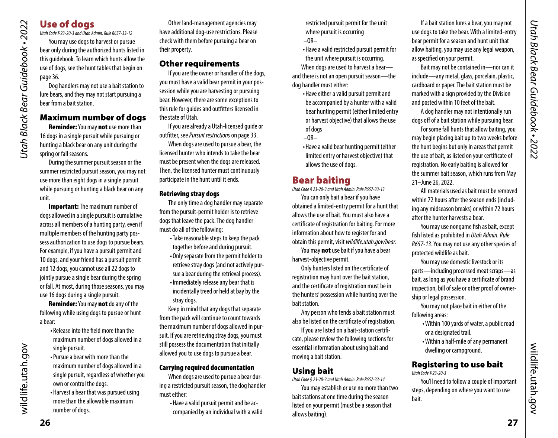# Use of dogs

*Utah Black Bear Guidebook • 2022*

<span id="page-13-0"></span>Utah Black Bear Guidebook • 2022

*Utah Code § 23-20-3 and Utah Admin. Rule R657-33-12* 

You may use dogs to harvest or pursue bear only during the authorized hunts listed in this guidebook. To learn which hunts allow the use of dogs, see the hunt tables that begin on [page 36.](#page-18-1)

Dog handlers may not use a bait station to lure bears, and they may not start pursuing a bear from a bait station.

### Maximum number of dogs

Reminder: You may not use more than 16 dogs in a single pursuit while pursuing or hunting a black bear on any unit during the spring or fall seasons.

During the summer pursuit season or the summer restricted pursuit season, you may not use more than eight dogs in a single pursuit while pursuing or hunting a black bear on any unit.

**Important:** The maximum number of dogs allowed in a single pursuit is cumulative across all members of a hunting party, even if multiple members of the hunting party possess authorization to use dogs to pursue bears. For example, if you have a pursuit permit and 10 dogs, and your friend has a pursuit permit and 12 dogs, you cannot use all 22 dogs to jointly pursue a single bear during the spring or fall. At most, during those seasons, you may use 16 dogs during a single pursuit.

Reminder: You may not do any of the following while using dogs to pursue or hunt a bear:

- Release into the feld more than the maximum number of dogs allowed in a single pursuit.
- Pursue a bear with more than the maximum number of dogs allowed in a single pursuit, regardless of whether you own or control the dogs.
- Harvest a bear that was pursued using more than the allowable maximum number of dogs.

Other land-management agencies may have additional dog-use restrictions. Please check with them before pursuing a bear on their property.

### Other requirements

If you are the owner or handler of the dogs, you must have a valid bear permit in your possession while you are harvesting or pursuing bear. However, there are some exceptions to this rule for guides and outftters licensed in the state of Utah.

If you are already a Utah-licensed guide or outftter, see *Pursuit restrictions* on page 33.

When dogs are used to pursue a bear, the licensed hunter who intends to take the bear must be present when the dogs are released. Then, the licensed hunter must continuously participate in the hunt until it ends.

### Retrieving stray dogs

The only time a dog handler may separate from the pursuit-permit holder is to retrieve dogs that leave the pack. The dog handler must do all of the following:

• Take reasonable steps to keep the pack together before and during pursuit.

• Only separate from the permit holder to retrieve stray dogs (and not actively pursue a bear during the retrieval process). • Immediately release any bear that is

incidentally treed or held at bay by the stray dogs.

Keep in mind that any dogs that separate from the pack will continue to count towards the maximum number of dogs allowed in pursuit. If you are retrieving stray dogs, you must still possess the documentation that initially allowed you to use dogs to pursue a bear.

### Carrying required documentation

When dogs are used to pursue a bear during a restricted pursuit season, the dog handler must either:

> • Have a valid pursuit permit and be accompanied by an individual with a valid

restricted pursuit permit for the unit where pursuit is occurring

- $-OR-$
- Have a valid restricted pursuit permit for the unit where pursuit is occurring.

When dogs are used to harvest a bearand there is not an open pursuit season—the dog handler must either:

- Have either a valid pursuit permit and be accompanied by a hunter with a valid bear hunting permit (either limited entry or harvest objective) that allows the use of dogs
- $-OR-$
- Have a valid bear hunting permit (either limited entry or harvest objective) that allows the use of dogs.

# Bear baiting

*Utah Code § 23-20-3 and Utah Admin. Rule R657-33-13* 

You can only bait a bear if you have obtained a limited-entry permit for a hunt that allows the use of bait. You must also have a certifcate of registration for baiting. For more information about how to register for and obtain this permit, visit *[wildlife.utah.gov/bear.](http://wildlife.utah.gov/bear)* 

You may **not** use bait if you have a bear harvest-objective permit.

Only hunters listed on the certifcate of registration may hunt over the bait station, and the certifcate of registration must be in the hunters' possession while hunting over the bait station.

Any person who tends a bait station must also be listed on the certifcate of registration.

If you are listed on a bait-station certifcate, please review the following sections for essential information about using bait and moving a bait station.

# Using bait

*Utah Code § 23-20-3 and Utah Admin. Rule R657-33-14* 

You may establish or use no more than two bait stations at one time during the season listed on your permit (must be a season that allows baiting).

If a bait station lures a bear, you may not use dogs to take the bear. With a limited-entry bear permit for a season and hunt unit that allow baiting, you may use any legal weapon, as specifed on your permit.

Bait may not be contained in—nor can it include—any metal, glass, porcelain, plastic, cardboard or paper. The bait station must be marked with a sign provided by the Division and posted within 10 feet of the bait.

A dog handler may not intentionally run dogs off of a bait station while pursuing bear.

For some fall hunts that allow baiting, you may begin placing bait up to two weeks before the hunt begins but only in areas that permit the use of bait, as listed on your certifcate of registration. No early baiting is allowed for the summer bait season, which runs from May 21–June 26, 2022.

All materials used as bait must be removed within 72 hours after the season ends (including any midseason breaks) or within 72 hours after the hunter harvests a bear.

You may use nongame fsh as bait, except fsh listed as prohibited in *Utah Admin. Rule R657-13*. You may not use any other species of protected wildlife as bait.

You may use domestic livestock or its parts—including processed meat scraps—as bait, as long as you have a certifcate of brand inspection, bill of sale or other proof of ownership or legal possession.

You may not place bait in either of the following areas:

- Within 100 yards of water, a public road or a designated trail.
- Within a half-mile of any permanent dwelling or campground.

### Registering to use bait *Utah Code § 23-20-3*

You'll need to follow a couple of important steps, depending on where you want to use bait.

wildlife.utah.gov

wildlife.utah.gov

wildlife.utah.gov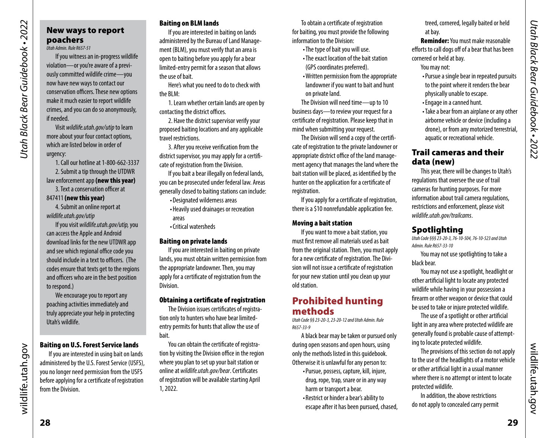# <span id="page-14-1"></span><span id="page-14-0"></span>New ways to report poachers

*Utah Admin. Rule R657-51* 

If you witness an in-progress wildlife violation—or you're aware of a previously committed wildlife crime—you now have new ways to contact our conservation officers. These new options make it much easier to report wildlife crimes, and you can do so anonymously, if needed.

Visit *[wildlife.utah.gov/utip](https://wildlife.utah.gov/utip)* to learn more about your four contact options, which are listed below in order of urgency:

1. Call our hotline at 1-800-662-3337 2. Submit a tip through the UTDWR law enforcement app (new this year) 3. Text a conservation officer at

847411 (new this year)

4. Submit an online report at *[wildlife.utah.gov/utip](https://wildlife.utah.gov/utip)* 

If you visit *[wildlife.utah.gov/utip,](https://wildlife.utah.gov/utip)* you can access the Apple and Android download links for the new UTDWR app and see which regional office code you should include in a text to officers. (The codes ensure that texts get to the regions and officers who are in the best position to respond.)

We encourage you to report any poaching activities immediately and truly appreciate your help in protecting Utah's wildlife.

### Baiting on U.S. Forest Service lands

If you are interested in using bait on lands administered by the U.S. Forest Service (USFS), you no longer need permission from the USFS before applying for a certifcate of registration from the Division.

### Baiting on BLM lands

If you are interested in baiting on lands administered by the Bureau of Land Management (BLM), you must verify that an area is open to baiting before you apply for a bear limited-entry permit for a season that allows the use of bait.

Here's what you need to do to check with the BLM:

1. Learn whether certain lands are open by contacting the district offices.

2. Have the district supervisor verify your proposed baiting locations and any applicable travel restrictions.

3. After you receive verifcation from the district supervisor, you may apply for a certifcate of registration from the Division.

If you bait a bear illegally on federal lands, you can be prosecuted under federal law. Areas generally closed to baiting stations can include:

• Designated wilderness areas • Heavily used drainages or recreation

areas

• Critical watersheds

### Baiting on private lands

If you are interested in baiting on private lands, you must obtain written permission from the appropriate landowner. Then, you may apply for a certifcate of registration from the Division.

### Obtaining a certifcate of registration

The Division issues certifcates of registration only to hunters who have bear limitedentry permits for hunts that allow the use of bait.

You can obtain the certifcate of registration by visiting the Division office in the region where you plan to set up your bait station or online at *[wildlife.utah.gov/bear](http://wildlife.utah.gov/bear)*. Certifcates of registration will be available starting April 1, 2022.

To obtain a certifcate of registration for baiting, you must provide the following information to the Division:

- The type of bait you will use.
- The exact location of the bait station (GPS coordinates preferred).
- Written permission from the appropriate landowner if you want to bait and hunt on private land.

The Division will need time—up to 10 business days—to review your request for a certifcate of registration. Please keep that in mind when submitting your request.

The Division will send a copy of the certifcate of registration to the private landowner or appropriate district office of the land management agency that manages the land where the bait station will be placed, as identifed by the hunter on the application for a certifcate of registration.

If you apply for a certifcate of registration, there is a \$10 nonrefundable application fee.

### Moving a bait station

If you want to move a bait station, you must frst remove all materials used as bait from the original station. Then, you must apply for a new certifcate of registration. The Division will not issue a certifcate of registration for your new station until you clean up your old station.

# Prohibited hunting methods

*Utah Code §§ 23-20-3, 23-20-12 and Utah Admin. Rule R657-33-9* 

A black bear may be taken or pursued only during open seasons and open hours, using only the methods listed in this guidebook. Otherwise it is unlawful for any person to:

- Pursue, possess, capture, kill, injure, drug, rope, trap, snare or in any way harm or transport a bear.
- Restrict or hinder a bear's ability to

escape after it has been pursued, chased,

treed, cornered, legally baited or held at bay.

Reminder: You must make reasonable efforts to call dogs off of a bear that has been cornered or held at bay. You may not:

- Pursue a single bear in repeated pursuits to the point where it renders the bear physically unable to escape.
- Engage in a canned hunt.
- Take a bear from an airplane or any other airborne vehicle or device (including a drone), or from any motorized terrestrial, aquatic or recreational vehicle.

### Trail cameras and their data (new)

This year, there will be changes to Utah's regulations that oversee the use of trail cameras for hunting purposes. For more information about trail camera regulations, restrictions and enforcement, please visit *[wildlife.utah.gov/trailcams](https://wildlife.utah.gov/trailcams)*.

# Spotlighting

*Utah Code §§§ 23-20-3, 76-10-504, 76-10-523 and Utah Admin. Rule R657-33-10* 

You may not use spotlighting to take a black bear.

You may not use a spotlight, headlight or other artifcial light to locate any protected wildlife while having in your possession a frearm or other weapon or device that could be used to take or injure protected wildlife.

The use of a spotlight or other artifcial light in any area where protected wildlife are generally found is probable cause of attempting to locate protected wildlife.

The provisions of this section do not apply to the use of the headlights of a motor vehicle or other artifcial light in a usual manner where there is no attempt or intent to locate protected wildlife.

In addition, the above restrictions do not apply to concealed carry permit wildlife.utah.gov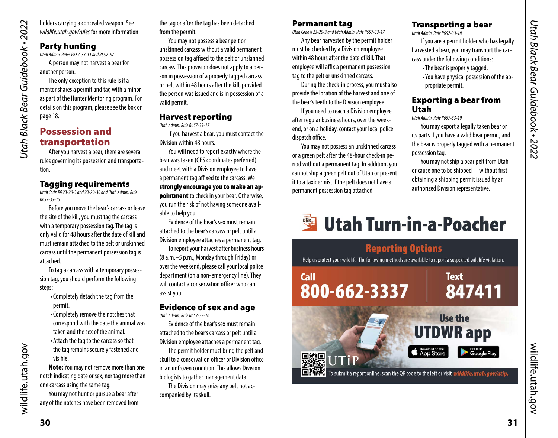<span id="page-15-0"></span>holders carrying a concealed weapon. See *[wildlife.utah.gov/rules](http://wildlife.utah.gov/rules)* for more information.

# Party hunting

*Utah Admin. Rules R657-33-11 and R657-67*  A person may not harvest a bear for another person.

The only exception to this rule is if a mentor shares a permit and tag with a minor as part of the Hunter Mentoring program. For details on this program, please see the box on page [18.](#page-9-1)

# Possession and transportation

After you harvest a bear, there are several rules governing its possession and transportation.

# Tagging requirements

*Utah Code §§ 23-20-3 and 23-20-30 and Utah Admin. Rule R657-33-15* 

Before you move the bear's carcass or leave the site of the kill, you must tag the carcass with a temporary possession tag. The tag is only valid for 48 hours after the date of kill and must remain attached to the pelt or unskinned carcass until the permanent possession tag is attached.

To tag a carcass with a temporary possession tag, you should perform the following steps:

- Completely detach the tag from the permit.
- Completely remove the notches that correspond with the date the animal was taken and the sex of the animal.
- Attach the tag to the carcass so that the tag remains securely fastened and visible.

Note: You may not remove more than one notch indicating date or sex, nor tag more than one carcass using the same tag.

You may not hunt or pursue a bear after any of the notches have been removed from the tag or after the tag has been detached from the permit.

You may not possess a bear pelt or unskinned carcass without a valid permanent possession tag affixed to the pelt or unskinned carcass. This provision does not apply to a person in possession of a properly tagged carcass or pelt within 48 hours after the kill, provided the person was issued and is in possession of a valid permit.

### Harvest reporting *Utah Admin. Rule R657-33-17*

If you harvest a bear, you must contact the Division within 48 hours.

You will need to report exactly where the bear was taken (GPS coordinates preferred) and meet with a Division employee to have a permanent tag affixed to the carcass. We strongly encourage you to make an appointment to check in your bear. Otherwise, you run the risk of not having someone available to help you.

Evidence of the bear's sex must remain attached to the bear's carcass or pelt until a Division employee attaches a permanent tag.

To report your harvest after business hours (8 a.m.–5 p.m., Monday through Friday) or over the weekend, please call your local police department (on a non-emergency line). They will contact a conservation officer who can assist you.

# Evidence of sex and age

*Utah Admin. Rule R657-33-16* 

Evidence of the bear's sex must remain attached to the bear's carcass or pelt until a Division employee attaches a permanent tag.

The permit holder must bring the pelt and skull to a conservation officer or Division office in an unfrozen condition. This allows Division biologists to gather management data.

The Division may seize any pelt not accompanied by its skull.

### Permanent tag

*Utah Code § 23-20-3 and Utah Admin. Rule R657-33-17* 

Any bear harvested by the permit holder must be checked by a Division employee within 48 hours after the date of kill. That employee will affix a permanent possession tag to the pelt or unskinned carcass.

During the check-in process, you must also provide the location of the harvest and one of the bear's teeth to the Division employee.

If you need to reach a Division employee after regular business hours, over the weekend, or on a holiday, contact your local police dispatch office.

You may not possess an unskinned carcass or a green pelt after the 48-hour check-in period without a permanent tag. In addition, you cannot ship a green pelt out of Utah or present it to a taxidermist if the pelt does not have a permanent possession tag attached.

### Transporting a bear

*Utah Admin. Rule R657-33-18* 

If you are a permit holder who has legally harvested a bear, you may transport the carcass under the following conditions:

- The bear is properly tagged. • You have physical possession of the ap-
- propriate permit.

### Exporting a bear from Utah

*Utah Admin. Rule R657-33-19* 

You may export a legally taken bear or its parts if you have a valid bear permit, and the bear is properly tagged with a permanent possession tag.

You may not ship a bear pelt from Utah or cause one to be shipped—without frst obtaining a shipping permit issued by an authorized Division representative.

# **No. 15 Utah Turn-in-a-Poacher**

# **Reporting Options**

Help us protect your wildlife. The following methods are available to report a suspected wildlife violation.



wildlife.utah.gov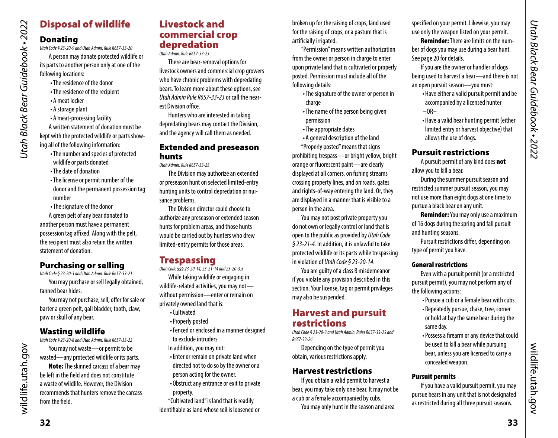# Disposal of wildlife

# Donating

*Utah Black Bear Guidebook • 2022*

Utah Black Bear Guidebook • 2022

A person may donate protected wildlife or its parts to another person only at one of the following locations:

- The residence of the donor
- The residence of the recipient
- A meat locker
- A storage plant
- A meat-processing facility

A written statement of donation must be kept with the protected wildlife or parts showing all of the following information:

- The number and species of protected wildlife or parts donated
- The date of donation
- The license or permit number of the donor and the permanent possession tag number
- The signature of the donor

A green pelt of any bear donated to another person must have a permanent possession tag affixed. Along with the pelt, the recipient must also retain the written statement of donation.

# Purchasing or selling

*Utah Code § 23-20-3 and Utah Admin. Rule R657-33-21* 

You may purchase or sell legally obtained, tanned bear hides.

You may not purchase, sell, offer for sale or barter a green pelt, gall bladder, tooth, claw, paw or skull of any bear.

# Wasting wildlife

*Utah Code § 23-20-8 and Utah Admin. Rule R657-33-22* 

You may not waste—or permit to be wasted—any protected wildlife or its parts.

Note: The skinned carcass of a bear may be left in the feld and does not constitute a waste of wildlife. However, the Division recommends that hunters remove the carcass from the field.

# Livestock and commercial crop depredation

*Utah Admin. Rule R657-33-23* 

There are bear-removal options for livestock owners and commercial crop growers who have chronic problems with depredating bears. To learn more about these options, see *Utah Admin Rule R657-33-23* or call the nearest Division office.

Hunters who are interested in taking depredating bears may contact the Division, and the agency will call them as needed.

### Extended and preseason hunts

*Utah Admin. Rule R657-33-25* 

The Division may authorize an extended or preseason hunt on selected limited-entry hunting units to control depredation or nuisance problems.

The Division director could choose to authorize any preseason or extended season hunts for problem areas, and those hunts would be carried out by hunters who drew limited-entry permits for those areas.

# **Trespassing**

*Utah Code §§§ 23-20-14, 23-21-14 and 23-20-3.5* 

While taking wildlife or engaging in wildlife-related activities, you may not without permission—enter or remain on privately owned land that is:

- Cultivated
- Properly posted
- Fenced or enclosed in a manner designed to exclude intruders
- In addition, you may not:
- Enter or remain on private land when directed not to do so by the owner or a
- person acting for the owner.
- Obstruct any entrance or exit to private property.

"Cultivated land" is land that is readily identifable as land whose soil is loosened or broken up for the raising of crops, land used for the raising of crops, or a pasture that is artificially irrigated.

"Permission" means written authorization from the owner or person in charge to enter upon private land that is cultivated or properly posted. Permission must include all of the following details:

- The signature of the owner or person in charge
- The name of the person being given permission
- The appropriate dates
- A general description of the land
- "Properly posted" means that signs

prohibiting trespass—or bright yellow, bright orange or fuorescent paint—are clearly displayed at all corners, on fshing streams crossing property lines, and on roads, gates and rights-of-way entering the land. Or, they are displayed in a manner that is visible to a person in the area.

You may not post private property you do not own or legally control or land that is open to the public as provided by *Utah Code § 23-21-4*. In addition, it is unlawful to take protected wildlife or its parts while trespassing in violation of *Utah Code § 23-20-14*.

You are guilty of a class B misdemeanor if you violate any provision described in this section. Your license, tag or permit privileges may also be suspended.

# Harvest and pursuit restrictions

*Utah Code § 23-20-3 and Utah Admin. Rules R657-33-25 and R657-33-26* 

Depending on the type of permit you obtain, various restrictions apply.

### Harvest restrictions

If you obtain a valid permit to harvest a bear, you may take only one bear. It may not be a cub or a female accompanied by cubs.

You may only hunt in the season and area

specifed on your permit. Likewise, you may use only the weapon listed on your permit.

Reminder: There are limits on the number of dogs you may use during a bear hunt. See page 20 for details.

If you are the owner or handler of dogs being used to harvest a bear—and there is not an open pursuit season—you must:

- Have either a valid pursuit permit and be accompanied by a licensed hunter  $-OR-$
- Have a valid bear hunting permit (either limited entry or harvest objective) that allows the use of dogs.

# Pursuit restrictions

A pursuit permit of any kind does not allow you to kill a bear.

During the summer pursuit season and restricted summer pursuit season, you may not use more than eight dogs at one time to pursue a black bear on any unit.

**Reminder:** You may only use a maximum of 16 dogs during the spring and fall pursuit and hunting seasons.

Pursuit restrictions differ, depending on type of permit you have.

### General restrictions

Even with a pursuit permit (or a restricted pursuit permit), you may not perform any of the following actions:

- Pursue a cub or a female bear with cubs.
- Repeatedly pursue, chase, tree, corner or hold at bay the same bear during the same day.
- Possess a frearm or any device that could be used to kill a bear while pursuing bear, unless you are licensed to carry a concealed weapon.

# Pursuit permits

If you have a valid pursuit permit, you may pursue bears in any unit that is not designated as restricted during all three pursuit seasons.

wildlife.utah.gov

wildlife.utah.gov

wildlife.utah.gov

wildlife.utah.gov

*Utah Code § 23-20-9 and Utah Admin. Rule R657-33-20*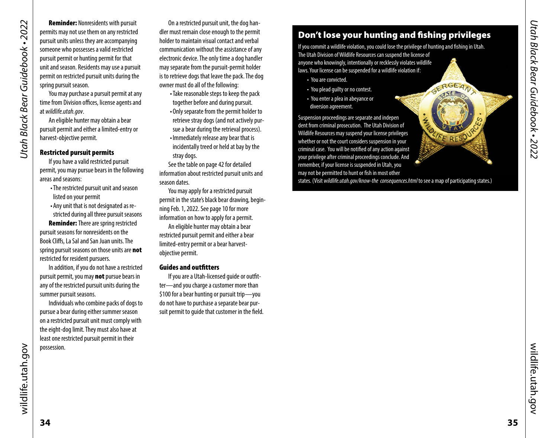Reminder: Nonresidents with pursuit permits may not use them on any restricted pursuit units unless they are accompanying someone who possesses a valid restricted pursuit permit or hunting permit for that unit and season. Residents may use a pursuit permit on restricted pursuit units during the spring pursuit season.

You may purchase a pursuit permit at any time from Division offices, license agents and at *[wildlife.utah.gov](http://wildlife.utah.gov)*.

An eligible hunter may obtain a bear pursuit permit and either a limited-entry or harvest-objective permit.

### Restricted pursuit permits

If you have a valid restricted pursuit permit, you may pursue bears in the following areas and seasons:

- The restricted pursuit unit and season listed on your permit
- Any unit that is not designated as restricted during all three pursuit seasons

Reminder: There are spring restricted pursuit seasons for nonresidents on the Book Clifs, La Sal and San Juan units. The spring pursuit seasons on those units are not restricted for resident pursuers.

In addition, if you do not have a restricted pursuit permit, you may **not** pursue bears in any of the restricted pursuit units during the summer pursuit seasons.

Individuals who combine packs of dogs to pursue a bear during either summer season on a restricted pursuit unit must comply with the eight-dog limit. They must also have at least one restricted pursuit permit in their possession.

On a restricted pursuit unit, the dog handler must remain close enough to the permit holder to maintain visual contact and verbal communication without the assistance of any electronic device. The only time a dog handler may separate from the pursuit-permit holder is to retrieve dogs that leave the pack. The dog owner must do all of the following:

- Take reasonable steps to keep the pack together before and during pursuit.
- Only separate from the permit holder to retrieve stray dogs (and not actively pursue a bear during the retrieval process).
- Immediately release any bear that is incidentally treed or held at bay by the stray dogs.

See the table on [page 42](#page-21-0) for detailed information about restricted pursuit units and season dates.

You may apply for a restricted pursuit permit in the state's black bear drawing, beginning Feb. 1, 2022. See [page 10](#page-5-2) for more information on how to apply for a permit. An eligible hunter may obtain a bear restricted pursuit permit and either a bear limited-entry permit or a bear harvestobjective permit.

### Guides and outftters

If you are a Utah-licensed guide or outftter—and you charge a customer more than \$100 for a bear hunting or pursuit trip—you do not have to purchase a separate bear pursuit permit to guide that customer in the feld.

# Don't lose your hunting and fshing privileges

If you commit a wildlife violation, you could lose the privilege of hunting and fshing in Utah. The Utah Division of Wildlife Resources can suspend the license of anyone who knowingly, intentionally or recklessly violates wildlife laws. Your license can be suspended for a wildlife violation if:

GERGEAN

- You are convicted.
- You plead guilty or no contest.
- You enter a plea in abeyance or diversion agreement.

Suspension proceedings are separate and indepen dent from criminal prosecution. The Utah Division of Wildlife Resources may suspend your license privileges whether or not the court considers suspension in your criminal case. You will be notifed of any action against your privilege after criminal proceedings conclude. And remember, if your license is suspended in Utah, you may not be permitted to hunt or fsh in most other

*-* states. (Visit *[wildlife.utah.gov/know-the](https://wildlife.utah.gov/know-the) consequences.html* to see a map of participating states.)

wildlife.utah.gov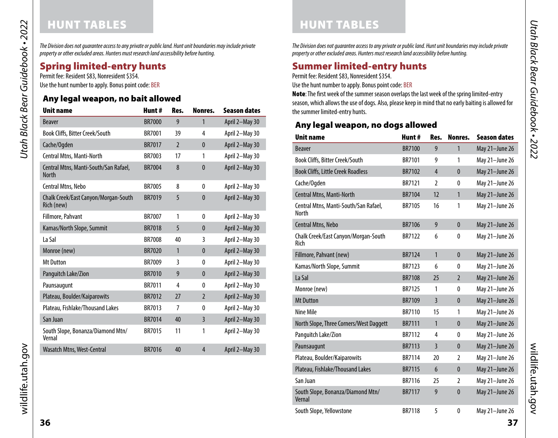# <span id="page-18-1"></span>HUNT TABLES **HUNT TABLES**

<span id="page-18-0"></span>Utah Black Bear Guidebook • 2022 *Utah Black Bear Guidebook • 2022*

*The Division does not guarantee access to any private or public land. Hunt unit boundaries may include private property or other excluded areas. Hunters must research land accessibility before hunting.* 

# Spring limited-entry hunts

Permit fee: Resident \$83, Nonresident \$354. Use the hunt number to apply. Bonus point code: BER

# Any legal weapon, no bait allowed

| <b>Unit name</b>                                      | Hunt#         | Res.           | Nonres.        | <b>Season dates</b> |
|-------------------------------------------------------|---------------|----------------|----------------|---------------------|
| <b>Beaver</b>                                         | <b>BR7000</b> | 9              | $\mathbf{1}$   | April 2-May 30      |
| Book Cliffs, Bitter Creek/South                       | BR7001        | 39             | 4              | April 2-May 30      |
| Cache/Ogden                                           | <b>BR7017</b> | $\overline{2}$ | $\mathbf{0}$   | April 2-May 30      |
| Central Mtns, Manti-North                             | BR7003        | 17             | 1              | April 2-May 30      |
| Central Mtns, Manti-South/San Rafael,<br><b>North</b> | <b>BR7004</b> | 8              | $\mathbf{0}$   | April 2-May 30      |
| <b>Central Mtns, Nebo</b>                             | <b>BR7005</b> | 8              | 0              | April 2-May 30      |
| Chalk Creek/East Canyon/Morgan-South<br>Rich (new)    | <b>BR7019</b> | 5              | $\mathbf{0}$   | April 2-May 30      |
| Fillmore, Pahvant                                     | <b>BR7007</b> | 1              | 0              | April 2-May 30      |
| Kamas/North Slope, Summit                             | <b>BR7018</b> | 5              | $\mathbf{0}$   | April 2-May 30      |
| La Sal                                                | <b>BR7008</b> | 40             | 3              | April 2-May 30      |
| Monroe (new)                                          | <b>BR7020</b> | 1              | $\mathbf{0}$   | April 2-May 30      |
| <b>Mt Dutton</b>                                      | BR7009        | 3              | 0              | April 2-May 30      |
| Panguitch Lake/Zion                                   | <b>BR7010</b> | 9              | $\mathbf{0}$   | April 2-May 30      |
| Paunsaugunt                                           | BR7011        | 4              | 0              | April 2-May 30      |
| Plateau, Boulder/Kaiparowits                          | <b>BR7012</b> | 27             | $\overline{2}$ | April 2-May 30      |
| Plateau, Fishlake/Thousand Lakes                      | BR7013        | 7              | 0              | April 2-May 30      |
| San Juan                                              | <b>BR7014</b> | 40             | $\overline{3}$ | April 2-May 30      |
| South Slope, Bonanza/Diamond Mtn/<br>Vernal           | BR7015        | 11             | 1              | April 2-May 30      |
| Wasatch Mtns, West-Central                            | <b>BR7016</b> | 40             | 4              | April 2-May 30      |

*The Division does not guarantee access to any private or public land. Hunt unit boundaries may include private property or other excluded areas. Hunters must research land accessibility before hunting.* 

# Summer limited-entry hunts

Permit fee: Resident \$83, Nonresident \$354.

Use the hunt number to apply. Bonus point code: BER

Note: The first week of the summer season overlaps the last week of the spring limited-entry season, which allows the use of dogs. Also, please keep in mind that no early baiting is allowed for the summer limited-entry hunts.

# Any legal weapon, no dogs allowed

| <b>Unit name</b>                               | Hunt#         | Res.           | Nonres.        | <b>Season dates</b> |
|------------------------------------------------|---------------|----------------|----------------|---------------------|
| <b>Beaver</b>                                  | <b>BR7100</b> | 9              | 1              | May 21-June 26      |
| Book Cliffs, Bitter Creek/South                | <b>BR7101</b> | 9              | 1              | May 21-June 26      |
| <b>Book Cliffs, Little Creek Roadless</b>      | <b>BR7102</b> | $\overline{4}$ | $\mathbf{0}$   | May 21-June 26      |
| Cache/Ogden                                    | <b>BR7121</b> | $\overline{2}$ | 0              | May 21-June 26      |
| Central Mtns, Manti-North                      | <b>BR7104</b> | 12             | 1              | May 21-June 26      |
| Central Mtns, Manti-South/San Rafael,<br>North | <b>BR7105</b> | 16             | 1              | May 21-June 26      |
| <b>Central Mtns, Nebo</b>                      | <b>BR7106</b> | 9              | $\mathbf{0}$   | May 21-June 26      |
| Chalk Creek/East Canyon/Morgan-South<br>Rich   | <b>BR7122</b> | 6              | 0              | May 21-June 26      |
| Fillmore, Pahvant (new)                        | <b>BR7124</b> | 1              | $\mathbf{0}$   | May 21-June 26      |
| Kamas/North Slope, Summit                      | <b>BR7123</b> | 6              | $\mathbf{0}$   | May 21-June 26      |
| La Sal                                         | <b>BR7108</b> | 25             | $\overline{2}$ | May 21-June 26      |
| Monroe (new)                                   | <b>BR7125</b> | 1              | 0              | May 21-June 26      |
| <b>Mt Dutton</b>                               | <b>BR7109</b> | $\overline{3}$ | $\mathbf{0}$   | May 21-June 26      |
| Nine Mile                                      | <b>BR7110</b> | 15             | 1              | May 21-June 26      |
| North Slope, Three Corners/West Daggett        | <b>BR7111</b> | 1              | $\mathbf{0}$   | May 21-June 26      |
| Panguitch Lake/Zion                            | <b>BR7112</b> | 4              | 0              | May 21-June 26      |
| Paunsaugunt                                    | <b>BR7113</b> | $\overline{3}$ | $\mathbf{0}$   | May 21-June 26      |
| Plateau, Boulder/Kaiparowits                   | <b>BR7114</b> | 20             | 2              | May 21-June 26      |
| Plateau, Fishlake/Thousand Lakes               | <b>BR7115</b> | 6              | $\mathbf{0}$   | May 21-June 26      |
| San Juan                                       | <b>BR7116</b> | 25             | $\overline{2}$ | May 21-June 26      |
| South Slope, Bonanza/Diamond Mtn/<br>Vernal    | <b>BR7117</b> | 9              | $\mathbf{0}$   | May 21-June 26      |
| South Slope, Yellowstone                       | <b>BR7118</b> | 5              | $\mathbf{0}$   | May 21-June 26      |

wildlife.utah.gov wildlife.utah.gov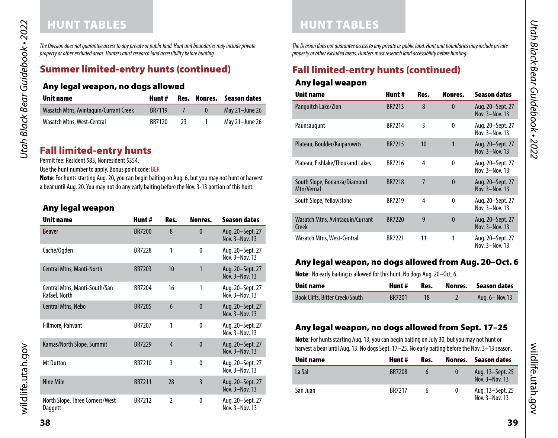# HUNT TABLES HUNT TABLES

*The Division does not guarantee access to any private or public land. Hunt unit boundaries may include private property or other excluded areas. Hunters must research land accessibility before hunting.* 

# Summer limited-entry hunts (continued)

### Any legal weapon, no dogs allowed

| Unit name                              | Hunt#         |    | Res. Nonres. Season dates |
|----------------------------------------|---------------|----|---------------------------|
| Wasatch Mtns, Avintaguin/Currant Creek | <b>BR7119</b> |    | May 21-June 26            |
| Wasatch Mtns, West-Central             | <b>BR7120</b> | 73 | May 21–June 26            |

# Fall limited-entry hunts

Permit fee: Resident \$83, Nonresident \$354.

Use the hunt number to apply. Bonus point code: BER

Note: For hunts starting Aug. 20, you can begin baiting on Aug. 6, but you may not hunt or harvest a bear until Aug. 20. You may not do any early baiting before the Nov. 3-13 portion of this hunt.

### Any legal weapon

| Unit name                                      | Hunt#         | Res.            | Nonres.        | <b>Season dates</b>                |
|------------------------------------------------|---------------|-----------------|----------------|------------------------------------|
| <b>Beaver</b>                                  | <b>BR7200</b> | 8               | $\mathbf{0}$   | Aug. 20–Sept. 27<br>Nov. 3-Nov. 13 |
| Cache/Ogden                                    | <b>BR7228</b> | 1               | 0              | Aug. 20-Sept. 27<br>Nov. 3-Nov. 13 |
| Central Mtns, Manti-North                      | <b>BR7203</b> | 10              | 1              | Aug. 20-Sept. 27<br>Nov. 3-Nov. 13 |
| Central Mtns, Manti-South/San<br>Rafael, North | BR7204        | 16              | 1              | Aug. 20-Sept. 27<br>Nov. 3-Nov. 13 |
| <b>Central Mtns, Nebo</b>                      | <b>BR7205</b> | $6\overline{6}$ | $\mathbf{0}$   | Aug. 20–Sept. 27<br>Nov. 3-Nov. 13 |
| Fillmore, Pahvant                              | <b>BR7207</b> | 1               | $\theta$       | Aug. 20-Sept. 27<br>Nov. 3-Nov. 13 |
| Kamas/North Slope, Summit                      | <b>BR7229</b> | $\overline{4}$  | $\mathbf{0}$   | Aug. 20-Sept. 27<br>Nov. 3-Nov. 13 |
| <b>Mt Dutton</b>                               | BR7210        | 3               | $\mathbf{0}$   | Aug. 20-Sept. 27<br>Nov. 3-Nov. 13 |
| Nine Mile                                      | <b>BR7211</b> | 28              | $\overline{3}$ | Aug. 20-Sept. 27<br>Nov. 3-Nov. 13 |
| North Slope, Three Corners/West<br>Daggett     | BR7212        | $\overline{2}$  | $\mathbf{0}$   | Aug. 20-Sept. 27<br>Nov. 3-Nov. 13 |

*The Division does not guarantee access to any private or public land. Hunt unit boundaries may include private property or other excluded areas. Hunters must research land accessibility before hunting.* 

# Fall limited-entry hunts (continued)

### Any legal weapon

| <b>Unit name</b>                           | Hunt#         | Res. | Nonres.      | <b>Season dates</b>                |
|--------------------------------------------|---------------|------|--------------|------------------------------------|
| Panguitch Lake/Zion                        | <b>BR7213</b> | 8    | $\mathbf{0}$ | Aug. 20–Sept. 27<br>Nov. 3-Nov. 13 |
| Paunsaugunt                                | BR7214        | 3    | 0            | Aug. 20-Sept. 27<br>Nov. 3-Nov. 13 |
| Plateau, Boulder/Kaiparowits               | <b>BR7215</b> | 10   | 1            | Aug. 20–Sept. 27<br>Nov. 3-Nov. 13 |
| Plateau, Fishlake/Thousand Lakes           | BR7216        | 4    | 0            | Aug. 20-Sept. 27<br>Nov. 3-Nov. 13 |
| South Slope, Bonanza/Diamond<br>Mtn/Vernal | <b>BR7218</b> | 7    | $\mathbf{0}$ | Aug. 20-Sept. 27<br>Nov. 3-Nov. 13 |
| South Slope, Yellowstone                   | <b>BR7219</b> | 4    | $\mathbf{0}$ | Aug. 20-Sept. 27<br>Nov. 3-Nov. 13 |
| Wasatch Mtns, Avintaguin/Currant<br>Creek  | <b>BR7220</b> | 9    | $\theta$     | Aug. 20–Sept. 27<br>Nov. 3-Nov. 13 |
| Wasatch Mtns, West-Central                 | <b>BR7221</b> | 11   | 1            | Aug. 20-Sept. 27<br>Nov. 3-Nov. 13 |

# Any legal weapon, no dogs allowed from Aug. 20–Oct. 6

Note: No early baiting is allowed for this hunt. No dogs Aug. 20–Oct. 6.

| Unit name                       | Hunt #        | Res. | Nonres. Season dates |
|---------------------------------|---------------|------|----------------------|
| Book Cliffs, Bitter Creek/South | <b>BR7201</b> |      | Aug. 6-Nov. 13       |

# Any legal weapon, no dogs allowed from Sept. 17–25

Note: For hunts starting Aug. 13, you can begin baiting on July 30, but you may not hunt or harvest a bear until Aug. 13. No dogs Sept. 17–25. No early baiting before the Nov. 3–13 season.

| Unit name | Hunt #        | Res.          |          | Nonres. Season dates               |
|-----------|---------------|---------------|----------|------------------------------------|
| La Sal    | <b>BR7208</b> | $\mathfrak h$ | $\bf{0}$ | Aug. 13–Sept. 25<br>Nov. 3-Nov. 13 |
| San Juan  | <b>BR7217</b> | h             | 0        | Aug. 13–Sept. 25<br>Nov. 3-Nov. 13 |

*Utah Black Bear Guidebook • 2022*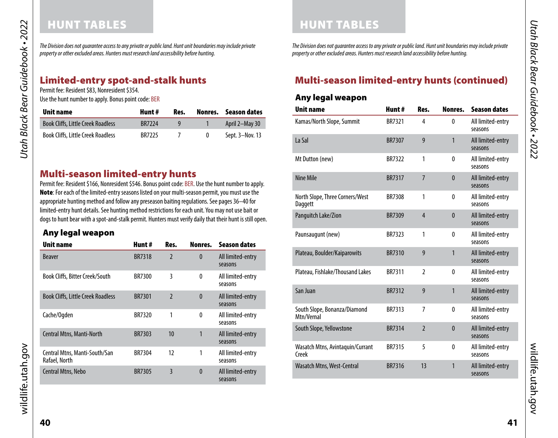# HUNT TABLES **HUNT TABLES**

*The Division does not guarantee access to any private or public land. Hunt unit boundaries may include private property or other excluded areas. Hunters must research land accessibility before hunting.* 

# Limited-entry spot-and-stalk hunts

Permit fee: Resident \$83, Nonresident \$354.

Use the hunt number to apply. Bonus point code: BER

| Unit name                                 | Hunt#         | Res. | Nonres. | Season dates    |
|-------------------------------------------|---------------|------|---------|-----------------|
| <b>Book Cliffs, Little Creek Roadless</b> | <b>BR7224</b> |      |         | April 2-May 30  |
| <b>Book Cliffs, Little Creek Roadless</b> | <b>BR7225</b> |      | 0       | Sept. 3–Nov. 13 |

# Multi-season limited-entry hunts

Permit fee: Resident \$166, Nonresident \$546. Bonus point code: BER. Use the hunt number to apply. Note: For each of the limited-entry seasons listed on your multi-season permit, you must use the appropriate hunting method and follow any preseason baiting regulations. See pages 36–40 for limited-entry hunt details. See hunting method restrictions for each unit. You may not use bait or dogs to hunt bear with a spot-and-stalk permit. Hunters must verify daily that their hunt is still open.

### Any legal weapon

| <b>Unit name</b>                               | Hunt#         | Res.                     | Nonres.      | <b>Season dates</b>          |
|------------------------------------------------|---------------|--------------------------|--------------|------------------------------|
| <b>Beaver</b>                                  | <b>BR7318</b> | $\overline{2}$           | $\mathbf{0}$ | All limited-entry<br>seasons |
| Book Cliffs, Bitter Creek/South                | BR7300        | 3                        | $\mathbf{0}$ | All limited-entry<br>seasons |
| <b>Book Cliffs, Little Creek Roadless</b>      | <b>BR7301</b> | $\overline{\phantom{a}}$ | $\mathbf{0}$ | All limited-entry<br>seasons |
| Cache/Ogden                                    | <b>BR7320</b> | 1                        | 0            | All limited-entry<br>seasons |
| <b>Central Mtns, Manti-North</b>               | BR7303        | 10                       | 1            | All limited-entry<br>seasons |
| Central Mtns, Manti-South/San<br>Rafael, North | BR7304        | 12                       | 1            | All limited-entry<br>seasons |
| <b>Central Mtns, Nebo</b>                      | <b>BR7305</b> | 3                        | $\mathbf{0}$ | All limited-entry<br>seasons |

*The Division does not guarantee access to any private or public land. Hunt unit boundaries may include private property or other excluded areas. Hunters must research land accessibility before hunting.* 

# Multi-season limited-entry hunts (continued)

### Any legal weapon

| <b>Unit name</b>                           | Hunt#         | Res.                     | Nonres.      | <b>Season dates</b>          |
|--------------------------------------------|---------------|--------------------------|--------------|------------------------------|
| Kamas/North Slope, Summit                  | <b>BR7321</b> | 4                        | $\mathbf{0}$ | All limited-entry<br>seasons |
| La Sal                                     | <b>BR7307</b> | 9                        | 1            | All limited-entry<br>seasons |
| Mt Dutton (new)                            | <b>BR7322</b> | 1                        | $\theta$     | All limited-entry<br>seasons |
| Nine Mile                                  | <b>BR7317</b> | $\overline{7}$           | $\mathbf{0}$ | All limited-entry<br>seasons |
| North Slope, Three Corners/West<br>Daggett | <b>BR7308</b> | 1                        | $\mathbf{0}$ | All limited-entry<br>seasons |
| Panguitch Lake/Zion                        | <b>BR7309</b> | $\overline{4}$           | $\mathbf{0}$ | All limited-entry<br>seasons |
| Paunsaugunt (new)                          | BR7323        | 1                        | 0            | All limited-entry<br>seasons |
| Plateau, Boulder/Kaiparowits               | <b>BR7310</b> | 9                        | $\mathbf{1}$ | All limited-entry<br>seasons |
| Plateau, Fishlake/Thousand Lakes           | BR7311        | $\overline{2}$           | 0            | All limited-entry<br>seasons |
| San Juan                                   | <b>BR7312</b> | 9                        | $\mathbf{1}$ | All limited-entry<br>seasons |
| South Slope, Bonanza/Diamond<br>Mtn/Vernal | BR7313        | $\overline{7}$           | $\mathbf{0}$ | All limited-entry<br>seasons |
| South Slope, Yellowstone                   | <b>BR7314</b> | $\overline{\phantom{a}}$ | $\mathbf{0}$ | All limited-entry<br>seasons |
| Wasatch Mtns, Avintaquin/Currant<br>Creek  | <b>BR7315</b> | 5                        | $\mathbf{0}$ | All limited-entry<br>seasons |
| Wasatch Mtns, West-Central                 | <b>BR7316</b> | 13                       | 1            | All limited-entry<br>seasons |

*Utah Black Bear Guidebook • 2022*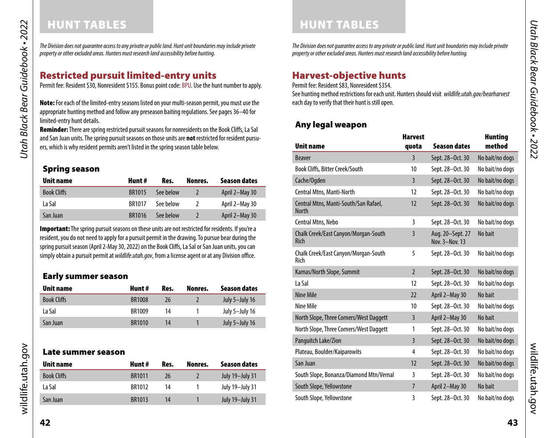# HUNT TABLES HUNT TABLES

*The Division does not guarantee access to any private or public land. Hunt unit boundaries may include private property or other excluded areas. Hunters must research land accessibility before hunting.* 

# <span id="page-21-0"></span>Restricted pursuit limited-entry units

Permit fee: Resident \$30, Nonresident \$155. Bonus point code: BPU. Use the hunt number to apply.

Note: For each of the limited-entry seasons listed on your multi-season permit, you must use the appropriate hunting method and follow any preseason baiting regulations. See pages 36–40 for limited-entry hunt details.

Reminder: There are spring restricted pursuit seasons for nonresidents on the Book Cliffs, La Sal and San Juan units. The spring pursuit seasons on those units are **not** restricted for resident pursuers, which is why resident permits aren't listed in the spring season table below.

### Spring season

| Unit name          | Hunt #        | Res.      | Nonres. | Season dates   |
|--------------------|---------------|-----------|---------|----------------|
| <b>Book Cliffs</b> | <b>BR1015</b> | See below |         | April 2-May 30 |
| La Sal             | <b>BR1017</b> | See below |         | April 2-May 30 |
| San Juan           | BR1016        | See below |         | April 2-May 30 |

Important: The spring pursuit seasons on these units are not restricted for residents. If you're a resident, you do not need to apply for a pursuit permit in the drawing. To pursue bear during the spring pursuit season (April 2-May 30, 2022) on the Book Clifs, La Sal or San Juan units, you can simply obtain a pursuit permit at *[wildlife.utah.gov](https://wildlife.utah.gov)*, from a license agent or at any Division office.

# Early summer season

| Unit name          | Hunt #        | Res. | Nonres. | Season dates   |
|--------------------|---------------|------|---------|----------------|
| <b>Book Cliffs</b> | <b>BR1008</b> | 26   |         | July 5-July 16 |
| La Sal             | BR1009        | 14   |         | July 5-July 16 |
| San Juan           | <b>BR1010</b> | 14   |         | July 5-July 16 |

### Late summer season

| Unit name          | Hunt #        | Res. | Nonres. | Season dates    |
|--------------------|---------------|------|---------|-----------------|
| <b>Book Cliffs</b> | <b>BR1011</b> | 26   |         | July 19-July 31 |
| La Sal             | <b>BR1012</b> | 14   |         | July 19-July 31 |
| San Juan           | BR1013        | 14   |         | July 19-July 31 |

*The Division does not guarantee access to any private or public land. Hunt unit boundaries may include private property or other excluded areas. Hunters must research land accessibility before hunting.* 

# <span id="page-21-1"></span>Harvest-objective hunts

Permit fee: Resident \$83, Nonresident \$354.

See hunting method restrictions for each unit. Hunters should visit *[wildlife.utah.gov/bearharvest](https://wildlife.utah.gov/bearharvest)*  each day to verify that their hunt is still open.

# Any legal weapon

| <b>Unit name</b>                                      | <b>Harvest</b><br>quota | <b>Season dates</b>                | <b>Hunting</b><br>method |
|-------------------------------------------------------|-------------------------|------------------------------------|--------------------------|
| <b>Beaver</b>                                         | $\overline{3}$          | Sept. 28-Oct. 30                   | No bait/no dogs          |
| Book Cliffs, Bitter Creek/South                       | 10                      | Sept. 28-Oct. 30                   | No bait/no dogs          |
| Cache/Ogden                                           | $\overline{3}$          | Sept. 28-Oct. 30                   | No bait/no dogs          |
| Central Mtns, Manti-North                             | 12                      | Sept. 28-Oct. 30                   | No bait/no dogs          |
| Central Mtns, Manti-South/San Rafael,<br><b>North</b> | 12                      | Sept. 28-Oct. 30                   | No bait/no dogs          |
| Central Mtns, Nebo                                    | 3                       | Sept. 28-Oct. 30                   | No bait/no dogs          |
| Chalk Creek/East Canyon/Morgan-South<br>Rich          | $\overline{3}$          | Aug. 20-Sept. 27<br>Nov. 3-Nov. 13 | No bait                  |
| Chalk Creek/East Canyon/Morgan-South<br>Rich          | 5                       | Sept. 28-Oct. 30                   | No bait/no dogs          |
| Kamas/North Slope, Summit                             | $\overline{2}$          | Sept. 28-Oct. 30                   | No bait/no dogs          |
| La Sal                                                | 12                      | Sept. 28-Oct. 30                   | No bait/no dogs          |
| <b>Nine Mile</b>                                      | 22                      | April 2-May 30                     | No bait                  |
| Nine Mile                                             | 10                      | Sept. 28-Oct. 30                   | No bait/no dogs          |
| North Slope, Three Corners/West Daggett               | 3                       | April 2-May 30                     | No bait                  |
| North Slope, Three Corners/West Daggett               | 1                       | Sept. 28-Oct. 30                   | No bait/no dogs          |
| Panguitch Lake/Zion                                   | $\overline{3}$          | Sept. 28-Oct. 30                   | No bait/no dogs          |
| Plateau, Boulder/Kaiparowits                          | 4                       | Sept. 28-Oct. 30                   | No bait/no dogs          |
| San Juan                                              | 12                      | Sept. 28-Oct. 30                   | No bait/no dogs          |
| South Slope, Bonanza/Diamond Mtn/Vernal               | 3                       | Sept. 28-Oct. 30                   | No bait/no dogs          |
| South Slope, Yellowstone                              | $\overline{7}$          | April 2-May 30                     | No bait                  |
| South Slope, Yellowstone                              | 3                       | Sept. 28-Oct. 30                   | No bait/no dogs          |

Utah Black Bear Guidebook • 2022 *Utah Black Bear Guidebook • 2022*

wildlife.utah.gov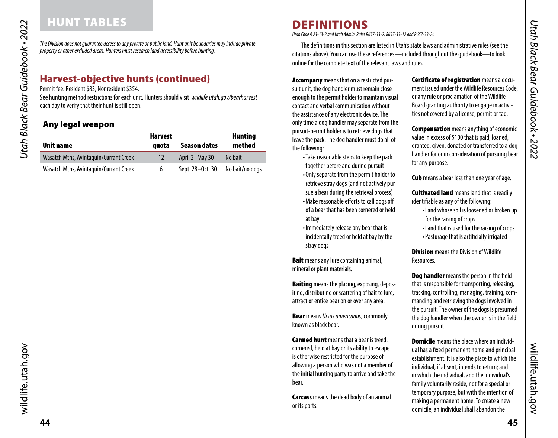# <span id="page-22-0"></span>HUNT TABLES

*The Division does not guarantee access to any private or public land. Hunt unit boundaries may include private property or other excluded areas. Hunters must research land accessibility before hunting.* 

# Harvest-objective hunts (continued)

Permit fee: Resident \$83, Nonresident \$354.

See hunting method restrictions for each unit. Hunters should visit *[wildlife.utah.gov/bearharvest](https://wildlife.utah.gov/bearharvest)*  each day to verify that their hunt is still open.

# Any legal weapon

|                                        | <b>Harvest</b> |                     | <b>Hunting</b>  |
|----------------------------------------|----------------|---------------------|-----------------|
| Unit name                              | quota          | <b>Season dates</b> | method          |
| Wasatch Mtns, Avintaguin/Currant Creek | 12             | April 2-May 30      | No bait         |
| Wasatch Mtns, Avintaguin/Currant Creek | 6              | Sept. 28-Oct. 30    | No bait/no dogs |

The defnitions in this section are listed in Utah's state laws and administrative rules (see the citations above). You can use these references—included throughout the guidebook—to look

> Accompany means that on a restricted pursuit unit, the dog handler must remain close enough to the permit holder to maintain visual contact and verbal communication without the assistance of any electronic device. The only time a dog handler may separate from the pursuit-permit holder is to retrieve dogs that leave the pack. The dog handler must do all of the following:

- Take reasonable steps to keep the pack together before and during pursuit
- Only separate from the permit holder to retrieve stray dogs (and not actively pursue a bear during the retrieval process) • Make reasonable efforts to call dogs off of a bear that has been cornered or held at bay
- Immediately release any bear that is incidentally treed or held at bay by the stray dogs

**Bait** means any lure containing animal, mineral or plant materials.

**Baiting** means the placing, exposing, depositing, distributing or scattering of bait to lure, attract or entice bear on or over any area.

Bear means *Ursus americanus*, commonly known as black bear.

**Canned hunt** means that a bear is treed, cornered, held at bay or its ability to escape is otherwise restricted for the purpose of allowing a person who was not a member of the initial hunting party to arrive and take the bear.

**Carcass** means the dead body of an animal or its parts.

Certifcate of registration means a document issued under the Wildlife Resources Code, or any rule or proclamation of the Wildlife Board granting authority to engage in activities not covered by a license, permit or tag.

**Compensation** means anything of economic value in excess of \$100 that is paid, loaned, granted, given, donated or transferred to a dog handler for or in consideration of pursuing bear for any purpose.

**Cub** means a bear less than one year of age.

**Cultivated land** means land that is readily identifable as any of the following:

- Land whose soil is loosened or broken up for the raising of crops
- Land that is used for the raising of crops
- Pasturage that is artifcially irrigated

**Division** means the Division of Wildlife **Resources** 

Dog handler means the person in the feld that is responsible for transporting, releasing, tracking, controlling, managing, training, commanding and retrieving the dogs involved in the pursuit. The owner of the dogs is presumed the dog handler when the owner is in the feld during pursuit.

**Domicile** means the place where an individual has a fxed permanent home and principal establishment. It is also the place to which the individual, if absent, intends to return; and in which the individual, and the individual's family voluntarily reside, not for a special or temporary purpose, but with the intention of making a permanent home. To create a new domicile, an individual shall abandon the

DEFINITIONS *Utah Code § 23-13-2 and Utah Admin. Rules R657-33-2, R657-33-12 and R657-33-26*  online for the complete text of the relevant laws and rules.

wildlife.utah.gov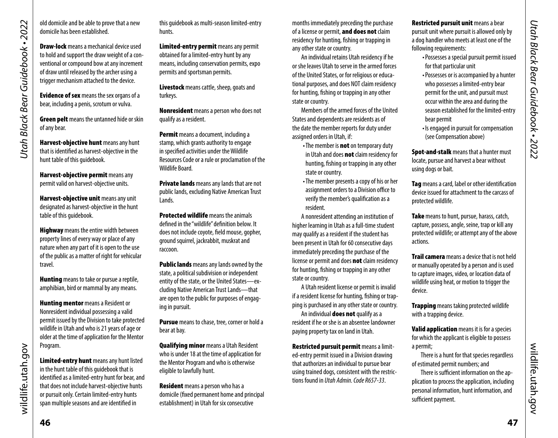old domicile and be able to prove that a new domicile has been established.

Draw-lock means a mechanical device used to hold and support the draw weight of a conventional or compound bow at any increment of draw until released by the archer using a trigger mechanism attached to the device.

**Evidence of sex** means the sex organs of a bear, including a penis, scrotum or vulva.

**Green pelt** means the untanned hide or skin of any bear.

Harvest-objective hunt means any hunt that is identifed as harvest-objective in the hunt table of this guidebook.

Harvest-objective permit means any permit valid on harvest-objective units.

**Harvest-objective unit means any unit** designated as harvest-objective in the hunt table of this guidebook.

**Highway** means the entire width between property lines of every way or place of any nature when any part of it is open to the use of the public as a matter of right for vehicular travel.

**Hunting** means to take or pursue a reptile, amphibian, bird or mammal by any means.

**Hunting mentor** means a Resident or Nonresident individual possessing a valid permit issued by the Division to take protected wildlife in Utah and who is 21 years of age or older at the time of application for the Mentor Program.

Limited-entry hunt means any hunt listed in the hunt table of this guidebook that is identifed as a limited-entry hunt for bear, and that does not include harvest-objective hunts or pursuit only. Certain limited-entry hunts span multiple seasons and are identifed in

this guidebook as multi-season limited-entry hunts.

Limited-entry permit means any permit obtained for a limited-entry hunt by any means, including conservation permits, expo permits and sportsman permits.

Livestock means cattle, sheep, goats and turkeys.

Nonresident means a person who does not qualify as a resident.

Permit means a document, including a stamp, which grants authority to engage in specifed activities under the Wildlife Resources Code or a rule or proclamation of the Wildlife Board.

**Private lands** means any lands that are not public lands, excluding Native American Trust Lands.

**Protected wildlife** means the animals defned in the "wildlife" defnition below. It does not include coyote, feld mouse, gopher, ground squirrel, jackrabbit, muskrat and raccoon.

**Public lands** means any lands owned by the state, a political subdivision or independent entity of the state, or the United States—excluding Native American Trust Lands—that are open to the public for purposes of engaging in pursuit.

Pursue means to chase, tree, corner or hold a bear at bay.

Qualifying minor means a Utah Resident who is under 18 at the time of application for the Mentor Program and who is otherwise eligible to lawfully hunt.

<span id="page-23-0"></span>**Resident** means a person who has a domicile (fxed permanent home and principal establishment) in Utah for six consecutive

months immediately preceding the purchase of a license or permit, and does not claim residency for hunting, fshing or trapping in any other state or country.

An individual retains Utah residency if he or she leaves Utah to serve in the armed forces of the United States, or for religious or educational purposes, and does NOT claim residency for hunting, fshing or trapping in any other state or country.

Members of the armed forces of the United States and dependents are residents as of the date the member reports for duty under assigned orders in Utah, if:

- The member is **not** on temporary duty in Utah and does not claim residency for hunting, fshing or trapping in any other state or country.
- The member presents a copy of his or her assignment orders to a Division office to verify the member's qualifcation as a resident.

A nonresident attending an institution of higher learning in Utah as a full-time student may qualify as a resident if the student has been present in Utah for 60 consecutive days immediately preceding the purchase of the license or permit and does not claim residency for hunting, fshing or trapping in any other state or country.

A Utah resident license or permit is invalid if a resident license for hunting, fshing or trapping is purchased in any other state or country.

An individual does not qualify as a resident if he or she is an absentee landowner paying property tax on land in Utah.

Restricted pursuit permit means a limited-entry permit issued in a Division drawing that authorizes an individual to pursue bear using trained dogs, consistent with the restrictions found in *Utah Admin. Code R657-33*.

Restricted pursuit unit means a bear pursuit unit where pursuit is allowed only by a dog handler who meets at least one of the following requirements:

- Possesses a special pursuit permit issued for that particular unit
- Possesses or is accompanied by a hunter who possesses a limited-entry bear permit for the unit, and pursuit must occur within the area and during the season established for the limited-entry bear permit
- Is engaged in pursuit for compensation (see Compensation above)

Spot-and-stalk means that a hunter must locate, pursue and harvest a bear without using dogs or bait.

Tag means a card, label or other identification device issued for attachment to the carcass of protected wildlife.

Take means to hunt, pursue, harass, catch, capture, possess, angle, seine, trap or kill any protected wildlife; or attempt any of the above actions.

**Trail camera** means a device that is not held or manually operated by a person and is used to capture images, video, or location data of wildlife using heat, or motion to trigger the device.

**Trapping** means taking protected wildlife with a trapping device.

Valid application means it is for a species for which the applicant is eligible to possess a permit;

There is a hunt for that species regardless of estimated permit numbers; and

There is sufficient information on the application to process the application, including personal information, hunt information, and sufficient payment.

wildlife.utah.gov